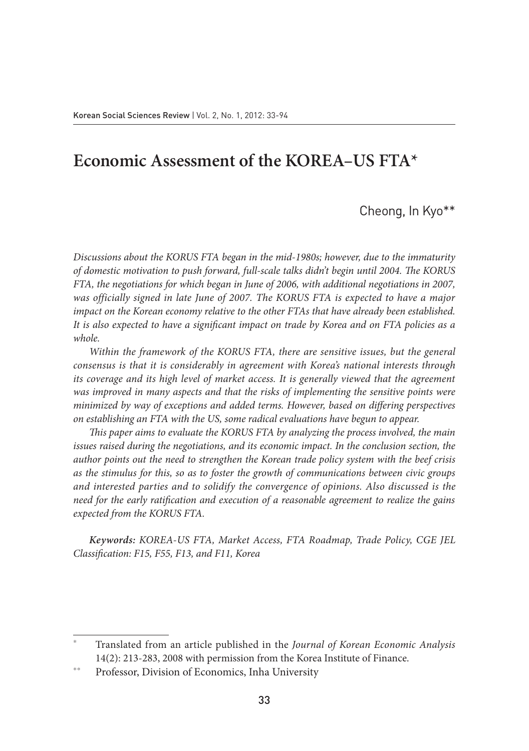# **Economic Assessment of the KOREA–US FTA\***

Cheong, In Kyo\*\*

*Discussions about the KORUS FTA began in the mid-1980s; however, due to the immaturity of domestic motivation to push forward, full-scale talks didn't begin until 2004. The KORUS FTA, the negotiations for which began in June of 2006, with additional negotiations in 2007, was officially signed in late June of 2007. The KORUS FTA is expected to have a major impact on the Korean economy relative to the other FTAs that have already been established. It is also expected to have a significant impact on trade by Korea and on FTA policies as a whole.*

*Within the framework of the KORUS FTA, there are sensitive issues, but the general consensus is that it is considerably in agreement with Korea's national interests through its coverage and its high level of market access. It is generally viewed that the agreement* was improved in many aspects and that the risks of implementing the sensitive points were *minimized by way of exceptions and added terms. However, based on differing perspectives on establishing an FTA with the US, some radical evaluations have begun to appear.* 

*This paper aims to evaluate the KORUS FTA by analyzing the process involved, the main issues raised during the negotiations, and its economic impact. In the conclusion section, the author points out the need to strengthen the Korean trade policy system with the beef crisis as the stimulus for this, so as to foster the growth of communications between civic groups and interested parties and to solidify the convergence of opinions. Also discussed is the need for the early ratification and execution of a reasonable agreement to realize the gains expected from the KORUS FTA.* 

*Keywords: KOREA-US FTA, Market Access, FTA Roadmap, Trade Policy, CGE JEL Classification: F15, F55, F13, and F11, Korea*

<sup>\*</sup> Translated from an article published in the *Journal of Korean Economic Analysis* 14(2): 213-283, 2008 with permission from the Korea Institute of Finance.

Professor, Division of Economics, Inha University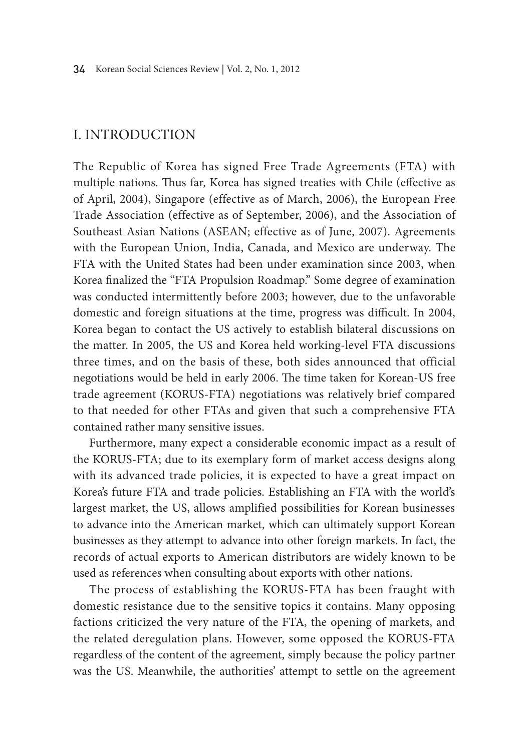# I. Introduction

The Republic of Korea has signed Free Trade Agreements (FTA) with multiple nations. Thus far, Korea has signed treaties with Chile (effective as of April, 2004), Singapore (effective as of March, 2006), the European Free Trade Association (effective as of September, 2006), and the Association of Southeast Asian Nations (ASEAN; effective as of June, 2007). Agreements with the European Union, India, Canada, and Mexico are underway. The FTA with the United States had been under examination since 2003, when Korea finalized the "FTA Propulsion Roadmap." Some degree of examination was conducted intermittently before 2003; however, due to the unfavorable domestic and foreign situations at the time, progress was difficult. In 2004, Korea began to contact the US actively to establish bilateral discussions on the matter. In 2005, the US and Korea held working-level FTA discussions three times, and on the basis of these, both sides announced that official negotiations would be held in early 2006. The time taken for Korean-US free trade agreement (KORUS-FTA) negotiations was relatively brief compared to that needed for other FTAs and given that such a comprehensive FTA contained rather many sensitive issues.

Furthermore, many expect a considerable economic impact as a result of the KORUS-FTA; due to its exemplary form of market access designs along with its advanced trade policies, it is expected to have a great impact on Korea's future FTA and trade policies. Establishing an FTA with the world's largest market, the US, allows amplified possibilities for Korean businesses to advance into the American market, which can ultimately support Korean businesses as they attempt to advance into other foreign markets. In fact, the records of actual exports to American distributors are widely known to be used as references when consulting about exports with other nations.

The process of establishing the KORUS-FTA has been fraught with domestic resistance due to the sensitive topics it contains. Many opposing factions criticized the very nature of the FTA, the opening of markets, and the related deregulation plans. However, some opposed the KORUS-FTA regardless of the content of the agreement, simply because the policy partner was the US. Meanwhile, the authorities' attempt to settle on the agreement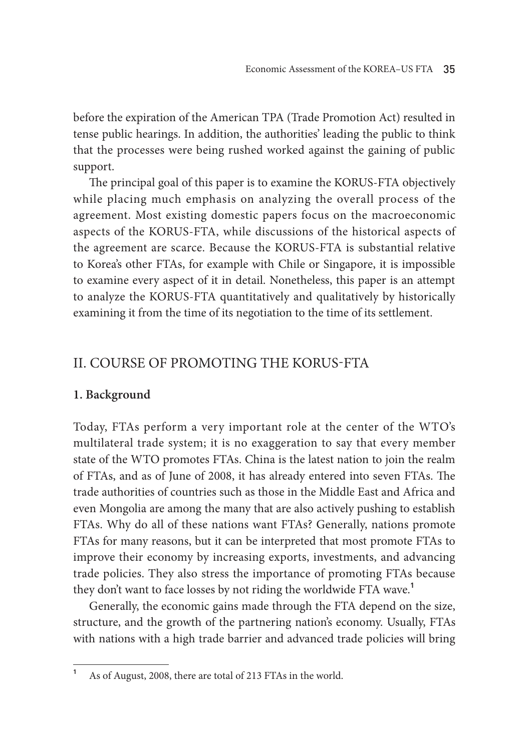before the expiration of the American TPA (Trade Promotion Act) resulted in tense public hearings. In addition, the authorities' leading the public to think that the processes were being rushed worked against the gaining of public support.

The principal goal of this paper is to examine the KORUS-FTA objectively while placing much emphasis on analyzing the overall process of the agreement. Most existing domestic papers focus on the macroeconomic aspects of the KORUS-FTA, while discussions of the historical aspects of the agreement are scarce. Because the KORUS-FTA is substantial relative to Korea's other FTAs, for example with Chile or Singapore, it is impossible to examine every aspect of it in detail. Nonetheless, this paper is an attempt to analyze the KORUS-FTA quantitatively and qualitatively by historically examining it from the time of its negotiation to the time of its settlement.

# II. Course of Promoting the KORUS-FTA

# **1. Background**

Today, FTAs perform a very important role at the center of the WTO's multilateral trade system; it is no exaggeration to say that every member state of the WTO promotes FTAs. China is the latest nation to join the realm of FTAs, and as of June of 2008, it has already entered into seven FTAs. The trade authorities of countries such as those in the Middle East and Africa and even Mongolia are among the many that are also actively pushing to establish FTAs. Why do all of these nations want FTAs? Generally, nations promote FTAs for many reasons, but it can be interpreted that most promote FTAs to improve their economy by increasing exports, investments, and advancing trade policies. They also stress the importance of promoting FTAs because they don't want to face losses by not riding the worldwide FTA wave.**<sup>1</sup>**

Generally, the economic gains made through the FTA depend on the size, structure, and the growth of the partnering nation's economy. Usually, FTAs with nations with a high trade barrier and advanced trade policies will bring

**<sup>1</sup>** As of August, 2008, there are total of 213 FTAs in the world.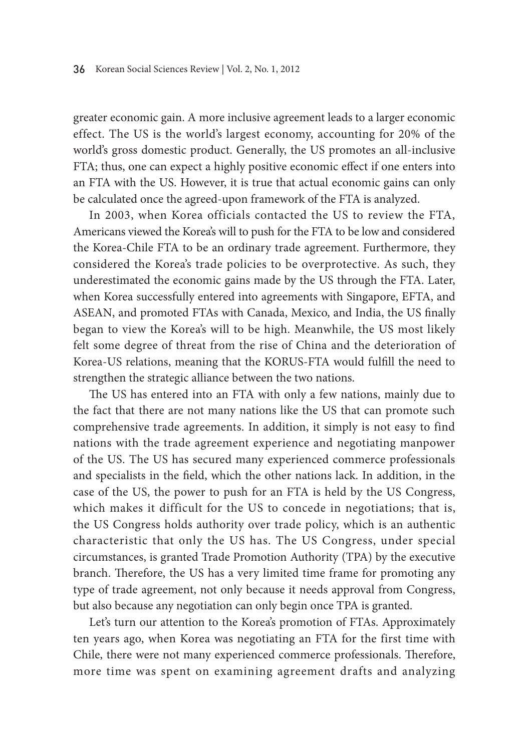greater economic gain. A more inclusive agreement leads to a larger economic effect. The US is the world's largest economy, accounting for 20% of the world's gross domestic product. Generally, the US promotes an all-inclusive FTA; thus, one can expect a highly positive economic effect if one enters into an FTA with the US. However, it is true that actual economic gains can only be calculated once the agreed-upon framework of the FTA is analyzed.

In 2003, when Korea officials contacted the US to review the FTA, Americans viewed the Korea's will to push for the FTA to be low and considered the Korea-Chile FTA to be an ordinary trade agreement. Furthermore, they considered the Korea's trade policies to be overprotective. As such, they underestimated the economic gains made by the US through the FTA. Later, when Korea successfully entered into agreements with Singapore, EFTA, and ASEAN, and promoted FTAs with Canada, Mexico, and India, the US finally began to view the Korea's will to be high. Meanwhile, the US most likely felt some degree of threat from the rise of China and the deterioration of Korea-US relations, meaning that the KORUS-FTA would fulfill the need to strengthen the strategic alliance between the two nations.

The US has entered into an FTA with only a few nations, mainly due to the fact that there are not many nations like the US that can promote such comprehensive trade agreements. In addition, it simply is not easy to find nations with the trade agreement experience and negotiating manpower of the US. The US has secured many experienced commerce professionals and specialists in the field, which the other nations lack. In addition, in the case of the US, the power to push for an FTA is held by the US Congress, which makes it difficult for the US to concede in negotiations; that is, the US Congress holds authority over trade policy, which is an authentic characteristic that only the US has. The US Congress, under special circumstances, is granted Trade Promotion Authority (TPA) by the executive branch. Therefore, the US has a very limited time frame for promoting any type of trade agreement, not only because it needs approval from Congress, but also because any negotiation can only begin once TPA is granted.

Let's turn our attention to the Korea's promotion of FTAs. Approximately ten years ago, when Korea was negotiating an FTA for the first time with Chile, there were not many experienced commerce professionals. Therefore, more time was spent on examining agreement drafts and analyzing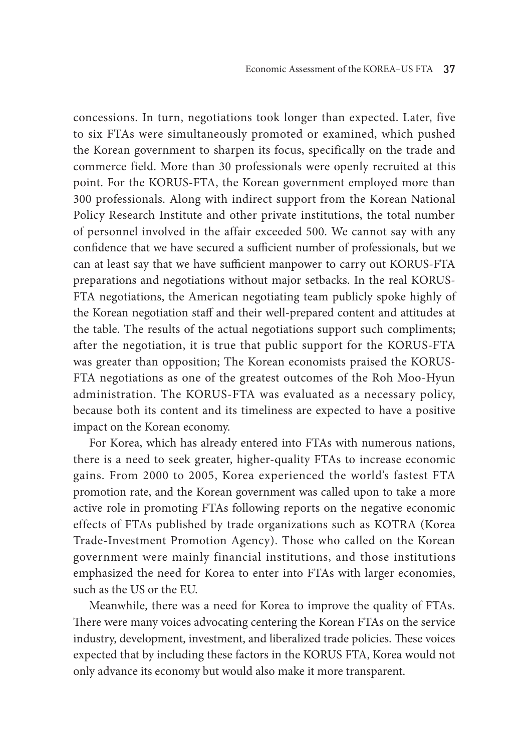concessions. In turn, negotiations took longer than expected. Later, five to six FTAs were simultaneously promoted or examined, which pushed the Korean government to sharpen its focus, specifically on the trade and commerce field. More than 30 professionals were openly recruited at this point. For the KORUS-FTA, the Korean government employed more than 300 professionals. Along with indirect support from the Korean National Policy Research Institute and other private institutions, the total number of personnel involved in the affair exceeded 500. We cannot say with any confidence that we have secured a sufficient number of professionals, but we can at least say that we have sufficient manpower to carry out KORUS-FTA preparations and negotiations without major setbacks. In the real KORUS-FTA negotiations, the American negotiating team publicly spoke highly of the Korean negotiation staff and their well-prepared content and attitudes at the table. The results of the actual negotiations support such compliments; after the negotiation, it is true that public support for the KORUS-FTA was greater than opposition; The Korean economists praised the KORUS-FTA negotiations as one of the greatest outcomes of the Roh Moo-Hyun administration. The KORUS-FTA was evaluated as a necessary policy, because both its content and its timeliness are expected to have a positive impact on the Korean economy.

For Korea, which has already entered into FTAs with numerous nations, there is a need to seek greater, higher-quality FTAs to increase economic gains. From 2000 to 2005, Korea experienced the world's fastest FTA promotion rate, and the Korean government was called upon to take a more active role in promoting FTAs following reports on the negative economic effects of FTAs published by trade organizations such as KOTRA (Korea Trade-Investment Promotion Agency). Those who called on the Korean government were mainly financial institutions, and those institutions emphasized the need for Korea to enter into FTAs with larger economies, such as the US or the EU.

Meanwhile, there was a need for Korea to improve the quality of FTAs. There were many voices advocating centering the Korean FTAs on the service industry, development, investment, and liberalized trade policies. These voices expected that by including these factors in the KORUS FTA, Korea would not only advance its economy but would also make it more transparent.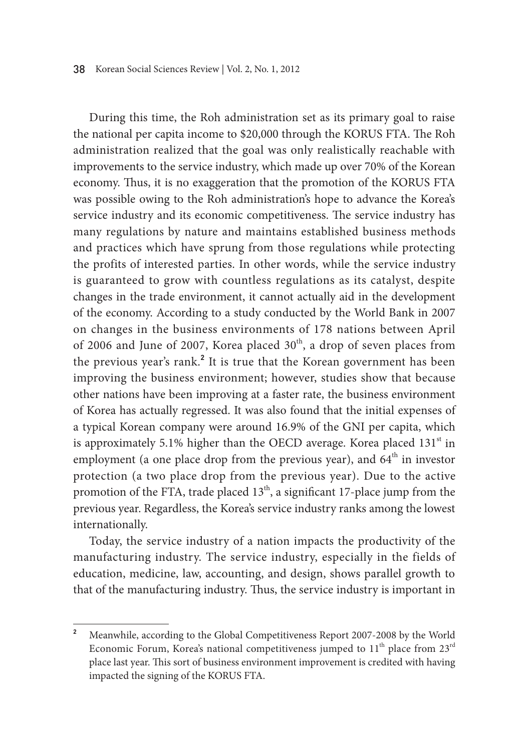During this time, the Roh administration set as its primary goal to raise the national per capita income to \$20,000 through the KORUS FTA. The Roh administration realized that the goal was only realistically reachable with improvements to the service industry, which made up over 70% of the Korean economy. Thus, it is no exaggeration that the promotion of the KORUS FTA was possible owing to the Roh administration's hope to advance the Korea's service industry and its economic competitiveness. The service industry has many regulations by nature and maintains established business methods and practices which have sprung from those regulations while protecting the profits of interested parties. In other words, while the service industry is guaranteed to grow with countless regulations as its catalyst, despite changes in the trade environment, it cannot actually aid in the development of the economy. According to a study conducted by the World Bank in 2007 on changes in the business environments of 178 nations between April of 2006 and June of 2007, Korea placed  $30<sup>th</sup>$ , a drop of seven places from the previous year's rank.<sup>2</sup> It is true that the Korean government has been improving the business environment; however, studies show that because other nations have been improving at a faster rate, the business environment of Korea has actually regressed. It was also found that the initial expenses of a typical Korean company were around 16.9% of the GNI per capita, which is approximately 5.1% higher than the OECD average. Korea placed  $131<sup>st</sup>$  in employment (a one place drop from the previous year), and  $64<sup>th</sup>$  in investor protection (a two place drop from the previous year). Due to the active promotion of the FTA, trade placed  $13<sup>th</sup>$ , a significant 17-place jump from the previous year. Regardless, the Korea's service industry ranks among the lowest internationally.

Today, the service industry of a nation impacts the productivity of the manufacturing industry. The service industry, especially in the fields of education, medicine, law, accounting, and design, shows parallel growth to that of the manufacturing industry. Thus, the service industry is important in

**<sup>2</sup>** Meanwhile, according to the Global Competitiveness Report 2007-2008 by the World Economic Forum, Korea's national competitiveness jumped to  $11<sup>th</sup>$  place from  $23<sup>rd</sup>$ place last year. This sort of business environment improvement is credited with having impacted the signing of the KORUS FTA.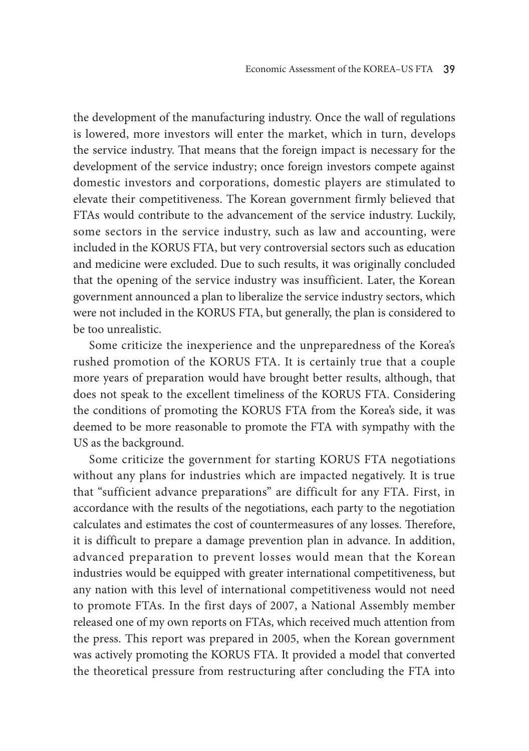the development of the manufacturing industry. Once the wall of regulations is lowered, more investors will enter the market, which in turn, develops the service industry. That means that the foreign impact is necessary for the development of the service industry; once foreign investors compete against domestic investors and corporations, domestic players are stimulated to elevate their competitiveness. The Korean government firmly believed that FTAs would contribute to the advancement of the service industry. Luckily, some sectors in the service industry, such as law and accounting, were included in the KORUS FTA, but very controversial sectors such as education and medicine were excluded. Due to such results, it was originally concluded that the opening of the service industry was insufficient. Later, the Korean government announced a plan to liberalize the service industry sectors, which were not included in the KORUS FTA, but generally, the plan is considered to be too unrealistic.

Some criticize the inexperience and the unpreparedness of the Korea's rushed promotion of the KORUS FTA. It is certainly true that a couple more years of preparation would have brought better results, although, that does not speak to the excellent timeliness of the KORUS FTA. Considering the conditions of promoting the KORUS FTA from the Korea's side, it was deemed to be more reasonable to promote the FTA with sympathy with the US as the background.

Some criticize the government for starting KORUS FTA negotiations without any plans for industries which are impacted negatively. It is true that "sufficient advance preparations" are difficult for any FTA. First, in accordance with the results of the negotiations, each party to the negotiation calculates and estimates the cost of countermeasures of any losses. Therefore, it is difficult to prepare a damage prevention plan in advance. In addition, advanced preparation to prevent losses would mean that the Korean industries would be equipped with greater international competitiveness, but any nation with this level of international competitiveness would not need to promote FTAs. In the first days of 2007, a National Assembly member released one of my own reports on FTAs, which received much attention from the press. This report was prepared in 2005, when the Korean government was actively promoting the KORUS FTA. It provided a model that converted the theoretical pressure from restructuring after concluding the FTA into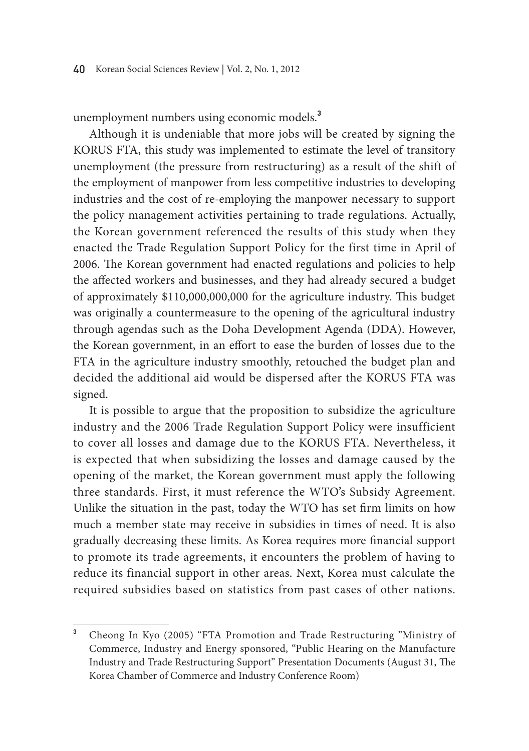unemployment numbers using economic models.**<sup>3</sup>**

Although it is undeniable that more jobs will be created by signing the KORUS FTA, this study was implemented to estimate the level of transitory unemployment (the pressure from restructuring) as a result of the shift of the employment of manpower from less competitive industries to developing industries and the cost of re-employing the manpower necessary to support the policy management activities pertaining to trade regulations. Actually, the Korean government referenced the results of this study when they enacted the Trade Regulation Support Policy for the first time in April of 2006. The Korean government had enacted regulations and policies to help the affected workers and businesses, and they had already secured a budget of approximately \$110,000,000,000 for the agriculture industry. This budget was originally a countermeasure to the opening of the agricultural industry through agendas such as the Doha Development Agenda (DDA). However, the Korean government, in an effort to ease the burden of losses due to the FTA in the agriculture industry smoothly, retouched the budget plan and decided the additional aid would be dispersed after the KORUS FTA was signed.

It is possible to argue that the proposition to subsidize the agriculture industry and the 2006 Trade Regulation Support Policy were insufficient to cover all losses and damage due to the KORUS FTA. Nevertheless, it is expected that when subsidizing the losses and damage caused by the opening of the market, the Korean government must apply the following three standards. First, it must reference the WTO's Subsidy Agreement. Unlike the situation in the past, today the WTO has set firm limits on how much a member state may receive in subsidies in times of need. It is also gradually decreasing these limits. As Korea requires more financial support to promote its trade agreements, it encounters the problem of having to reduce its financial support in other areas. Next, Korea must calculate the required subsidies based on statistics from past cases of other nations.

**<sup>3</sup>** Cheong In Kyo (2005) "FTA Promotion and Trade Restructuring "Ministry of Commerce, Industry and Energy sponsored, "Public Hearing on the Manufacture Industry and Trade Restructuring Support" Presentation Documents (August 31, The Korea Chamber of Commerce and Industry Conference Room)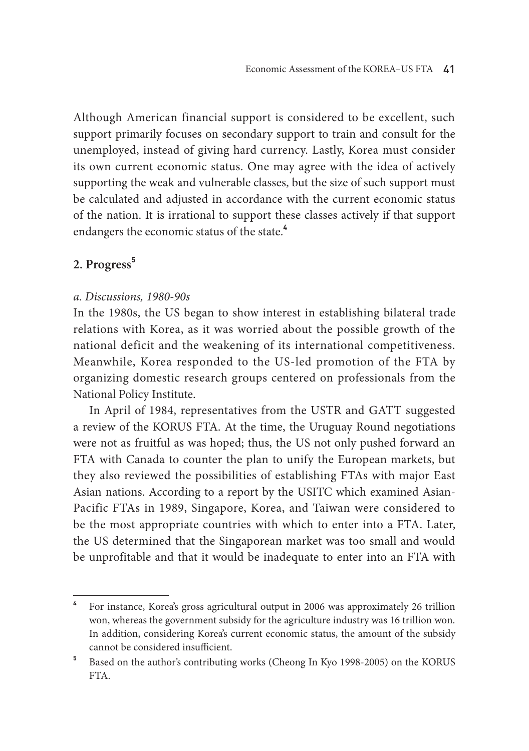Although American financial support is considered to be excellent, such support primarily focuses on secondary support to train and consult for the unemployed, instead of giving hard currency. Lastly, Korea must consider its own current economic status. One may agree with the idea of actively supporting the weak and vulnerable classes, but the size of such support must be calculated and adjusted in accordance with the current economic status of the nation. It is irrational to support these classes actively if that support endangers the economic status of the state.**<sup>4</sup>**

# **2. Progress<sup>5</sup>**

# *a. Discussions, 1980-90s*

In the 1980s, the US began to show interest in establishing bilateral trade relations with Korea, as it was worried about the possible growth of the national deficit and the weakening of its international competitiveness. Meanwhile, Korea responded to the US-led promotion of the FTA by organizing domestic research groups centered on professionals from the National Policy Institute.

In April of 1984, representatives from the USTR and GATT suggested a review of the KORUS FTA. At the time, the Uruguay Round negotiations were not as fruitful as was hoped; thus, the US not only pushed forward an FTA with Canada to counter the plan to unify the European markets, but they also reviewed the possibilities of establishing FTAs with major East Asian nations. According to a report by the USITC which examined Asian-Pacific FTAs in 1989, Singapore, Korea, and Taiwan were considered to be the most appropriate countries with which to enter into a FTA. Later, the US determined that the Singaporean market was too small and would be unprofitable and that it would be inadequate to enter into an FTA with

**<sup>4</sup>** For instance, Korea's gross agricultural output in 2006 was approximately 26 trillion won, whereas the government subsidy for the agriculture industry was 16 trillion won. In addition, considering Korea's current economic status, the amount of the subsidy cannot be considered insufficient.

**<sup>5</sup>** Based on the author's contributing works (Cheong In Kyo 1998-2005) on the KORUS FTA.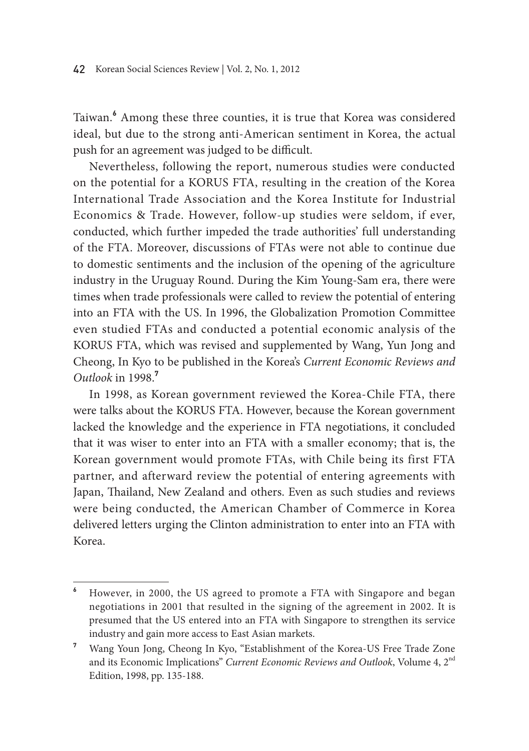Taiwan.**<sup>6</sup>** Among these three counties, it is true that Korea was considered ideal, but due to the strong anti-American sentiment in Korea, the actual push for an agreement was judged to be difficult.

Nevertheless, following the report, numerous studies were conducted on the potential for a KORUS FTA, resulting in the creation of the Korea International Trade Association and the Korea Institute for Industrial Economics & Trade. However, follow-up studies were seldom, if ever, conducted, which further impeded the trade authorities' full understanding of the FTA. Moreover, discussions of FTAs were not able to continue due to domestic sentiments and the inclusion of the opening of the agriculture industry in the Uruguay Round. During the Kim Young-Sam era, there were times when trade professionals were called to review the potential of entering into an FTA with the US. In 1996, the Globalization Promotion Committee even studied FTAs and conducted a potential economic analysis of the KORUS FTA, which was revised and supplemented by Wang, Yun Jong and Cheong, In Kyo to be published in the Korea's *Current Economic Reviews and Outlook* in 1998.**<sup>7</sup>**

In 1998, as Korean government reviewed the Korea-Chile FTA, there were talks about the KORUS FTA. However, because the Korean government lacked the knowledge and the experience in FTA negotiations, it concluded that it was wiser to enter into an FTA with a smaller economy; that is, the Korean government would promote FTAs, with Chile being its first FTA partner, and afterward review the potential of entering agreements with Japan, Thailand, New Zealand and others. Even as such studies and reviews were being conducted, the American Chamber of Commerce in Korea delivered letters urging the Clinton administration to enter into an FTA with Korea.

**<sup>6</sup>** However, in 2000, the US agreed to promote a FTA with Singapore and began negotiations in 2001 that resulted in the signing of the agreement in 2002. It is presumed that the US entered into an FTA with Singapore to strengthen its service industry and gain more access to East Asian markets.

**<sup>7</sup>** Wang Youn Jong, Cheong In Kyo, "Establishment of the Korea-US Free Trade Zone and its Economic Implications" *Current Economic Reviews and Outlook*, Volume 4, 2nd Edition, 1998, pp. 135-188.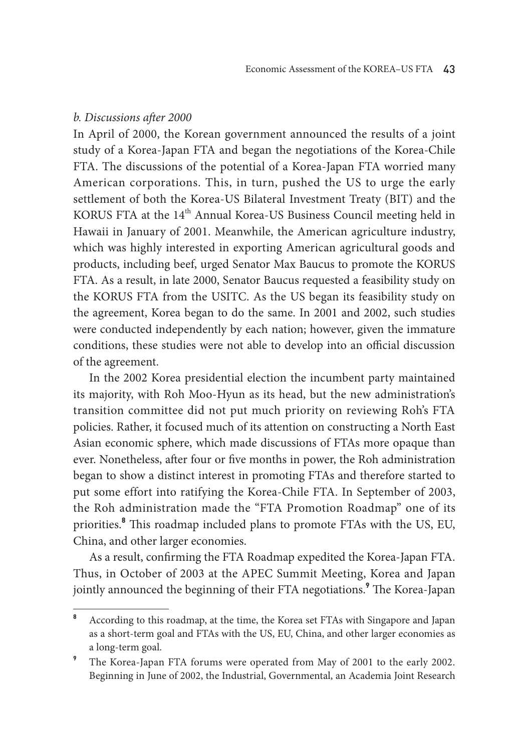## *b. Discussions after 2000*

In April of 2000, the Korean government announced the results of a joint study of a Korea-Japan FTA and began the negotiations of the Korea-Chile FTA. The discussions of the potential of a Korea-Japan FTA worried many American corporations. This, in turn, pushed the US to urge the early settlement of both the Korea-US Bilateral Investment Treaty (BIT) and the KORUS FTA at the 14<sup>th</sup> Annual Korea-US Business Council meeting held in Hawaii in January of 2001. Meanwhile, the American agriculture industry, which was highly interested in exporting American agricultural goods and products, including beef, urged Senator Max Baucus to promote the KORUS FTA. As a result, in late 2000, Senator Baucus requested a feasibility study on the KORUS FTA from the USITC. As the US began its feasibility study on the agreement, Korea began to do the same. In 2001 and 2002, such studies were conducted independently by each nation; however, given the immature conditions, these studies were not able to develop into an official discussion of the agreement.

In the 2002 Korea presidential election the incumbent party maintained its majority, with Roh Moo-Hyun as its head, but the new administration's transition committee did not put much priority on reviewing Roh's FTA policies. Rather, it focused much of its attention on constructing a North East Asian economic sphere, which made discussions of FTAs more opaque than ever. Nonetheless, after four or five months in power, the Roh administration began to show a distinct interest in promoting FTAs and therefore started to put some effort into ratifying the Korea-Chile FTA. In September of 2003, the Roh administration made the "FTA Promotion Roadmap" one of its priorities.**<sup>8</sup>** This roadmap included plans to promote FTAs with the US, EU, China, and other larger economies.

As a result, confirming the FTA Roadmap expedited the Korea-Japan FTA. Thus, in October of 2003 at the APEC Summit Meeting, Korea and Japan jointly announced the beginning of their FTA negotiations.**<sup>9</sup>** The Korea-Japan

**<sup>8</sup>** According to this roadmap, at the time, the Korea set FTAs with Singapore and Japan as a short-term goal and FTAs with the US, EU, China, and other larger economies as a long-term goal.

**<sup>9</sup>** The Korea-Japan FTA forums were operated from May of 2001 to the early 2002. Beginning in June of 2002, the Industrial, Governmental, an Academia Joint Research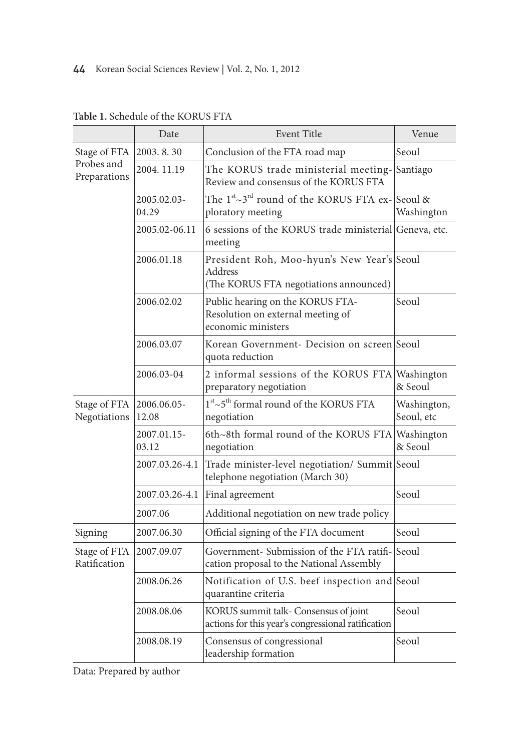|                              | Date                 | <b>Event Title</b>                                                                              | Venue                     |
|------------------------------|----------------------|-------------------------------------------------------------------------------------------------|---------------------------|
| Stage of FTA                 | 2003.8.30            | Conclusion of the FTA road map                                                                  | Seoul                     |
| Probes and<br>Preparations   | 2004.11.19           | The KORUS trade ministerial meeting-<br>Review and consensus of the KORUS FTA                   | Santiago                  |
|                              | 2005.02.03-<br>04.29 | The 1 <sup>st</sup> ~3 <sup>rd</sup> round of the KORUS FTA ex-Seoul &<br>ploratory meeting     | Washington                |
|                              | 2005.02-06.11        | 6 sessions of the KORUS trade ministerial Geneva, etc.<br>meeting                               |                           |
|                              | 2006.01.18           | President Roh, Moo-hyun's New Year's Seoul<br>Address<br>(The KORUS FTA negotiations announced) |                           |
|                              | 2006.02.02           | Public hearing on the KORUS FTA-<br>Resolution on external meeting of<br>economic ministers     | Seoul                     |
|                              | 2006.03.07           | Korean Government- Decision on screen Seoul<br>quota reduction                                  |                           |
|                              | 2006.03-04           | 2 informal sessions of the KORUS FTA Washington<br>preparatory negotiation                      | & Seoul                   |
| Stage of FTA<br>Negotiations | 2006.06.05-<br>12.08 | $1^{\rm st} {\sim} 5^{\rm th}$ formal round of the KORUS FTA<br>negotiation                     | Washington,<br>Seoul, etc |
|                              | 2007.01.15-<br>03.12 | 6th~8th formal round of the KORUS FTA Washington<br>negotiation                                 | & Seoul                   |
|                              | 2007.03.26-4.1       | Trade minister-level negotiation/ Summit Seoul<br>telephone negotiation (March 30)              |                           |
|                              | 2007.03.26-4.1       | Final agreement                                                                                 | Seoul                     |
|                              | 2007.06              | Additional negotiation on new trade policy                                                      |                           |
| Signing                      | 2007.06.30           | Official signing of the FTA document                                                            | Seoul                     |
| Stage of FTA<br>Ratification | 2007.09.07           | Government- Submission of the FTA ratifi-Seoul<br>cation proposal to the National Assembly      |                           |
|                              | 2008.06.26           | Notification of U.S. beef inspection and Seoul<br>quarantine criteria                           |                           |
|                              | 2008.08.06           | KORUS summit talk- Consensus of joint<br>actions for this year's congressional ratification     | Seoul                     |
|                              | 2008.08.19           | Consensus of congressional<br>leadership formation                                              | Seoul                     |

**Table 1.** Schedule of the KORUS FTA

Data: Prepared by author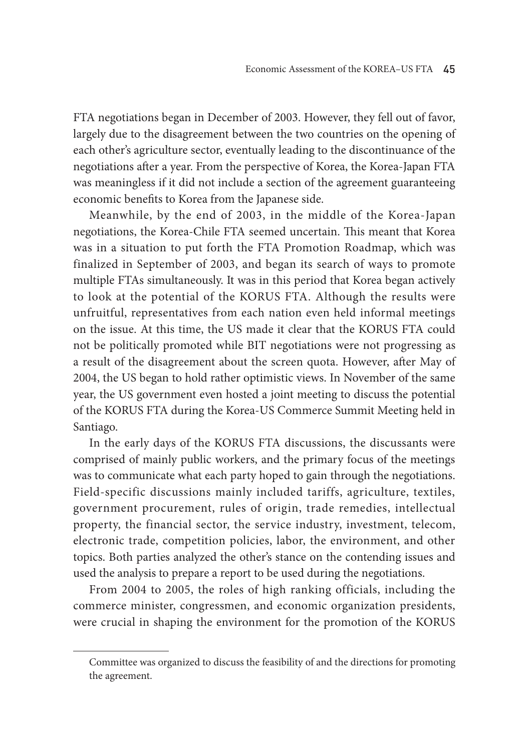FTA negotiations began in December of 2003. However, they fell out of favor, largely due to the disagreement between the two countries on the opening of each other's agriculture sector, eventually leading to the discontinuance of the negotiations after a year. From the perspective of Korea, the Korea-Japan FTA was meaningless if it did not include a section of the agreement guaranteeing economic benefits to Korea from the Japanese side.

Meanwhile, by the end of 2003, in the middle of the Korea-Japan negotiations, the Korea-Chile FTA seemed uncertain. This meant that Korea was in a situation to put forth the FTA Promotion Roadmap, which was finalized in September of 2003, and began its search of ways to promote multiple FTAs simultaneously. It was in this period that Korea began actively to look at the potential of the KORUS FTA. Although the results were unfruitful, representatives from each nation even held informal meetings on the issue. At this time, the US made it clear that the KORUS FTA could not be politically promoted while BIT negotiations were not progressing as a result of the disagreement about the screen quota. However, after May of 2004, the US began to hold rather optimistic views. In November of the same year, the US government even hosted a joint meeting to discuss the potential of the KORUS FTA during the Korea-US Commerce Summit Meeting held in Santiago.

In the early days of the KORUS FTA discussions, the discussants were comprised of mainly public workers, and the primary focus of the meetings was to communicate what each party hoped to gain through the negotiations. Field-specific discussions mainly included tariffs, agriculture, textiles, government procurement, rules of origin, trade remedies, intellectual property, the financial sector, the service industry, investment, telecom, electronic trade, competition policies, labor, the environment, and other topics. Both parties analyzed the other's stance on the contending issues and used the analysis to prepare a report to be used during the negotiations.

From 2004 to 2005, the roles of high ranking officials, including the commerce minister, congressmen, and economic organization presidents, were crucial in shaping the environment for the promotion of the KORUS

Committee was organized to discuss the feasibility of and the directions for promoting the agreement.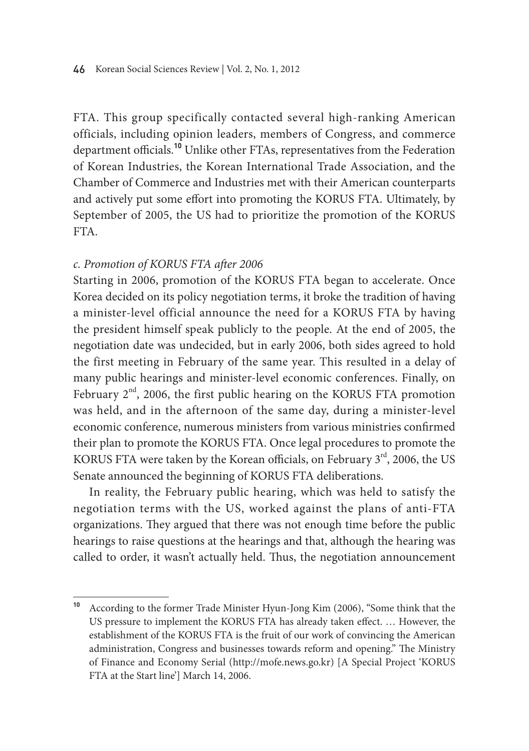FTA. This group specifically contacted several high-ranking American officials, including opinion leaders, members of Congress, and commerce department officials.**<sup>10</sup>** Unlike other FTAs, representatives from the Federation of Korean Industries, the Korean International Trade Association, and the Chamber of Commerce and Industries met with their American counterparts and actively put some effort into promoting the KORUS FTA. Ultimately, by September of 2005, the US had to prioritize the promotion of the KORUS FTA.

# *c. Promotion of KORUS FTA after 2006*

Starting in 2006, promotion of the KORUS FTA began to accelerate. Once Korea decided on its policy negotiation terms, it broke the tradition of having a minister-level official announce the need for a KORUS FTA by having the president himself speak publicly to the people. At the end of 2005, the negotiation date was undecided, but in early 2006, both sides agreed to hold the first meeting in February of the same year. This resulted in a delay of many public hearings and minister-level economic conferences. Finally, on February  $2<sup>nd</sup>$ , 2006, the first public hearing on the KORUS FTA promotion was held, and in the afternoon of the same day, during a minister-level economic conference, numerous ministers from various ministries confirmed their plan to promote the KORUS FTA. Once legal procedures to promote the KORUS FTA were taken by the Korean officials, on February 3<sup>rd</sup>, 2006, the US Senate announced the beginning of KORUS FTA deliberations.

In reality, the February public hearing, which was held to satisfy the negotiation terms with the US, worked against the plans of anti-FTA organizations. They argued that there was not enough time before the public hearings to raise questions at the hearings and that, although the hearing was called to order, it wasn't actually held. Thus, the negotiation announcement

**<sup>10</sup>** According to the former Trade Minister Hyun-Jong Kim (2006), "Some think that the US pressure to implement the KORUS FTA has already taken effect. … However, the establishment of the KORUS FTA is the fruit of our work of convincing the American administration, Congress and businesses towards reform and opening." The Ministry of Finance and Economy Serial (http://mofe.news.go.kr) [A Special Project 'KORUS FTA at the Start line'] March 14, 2006.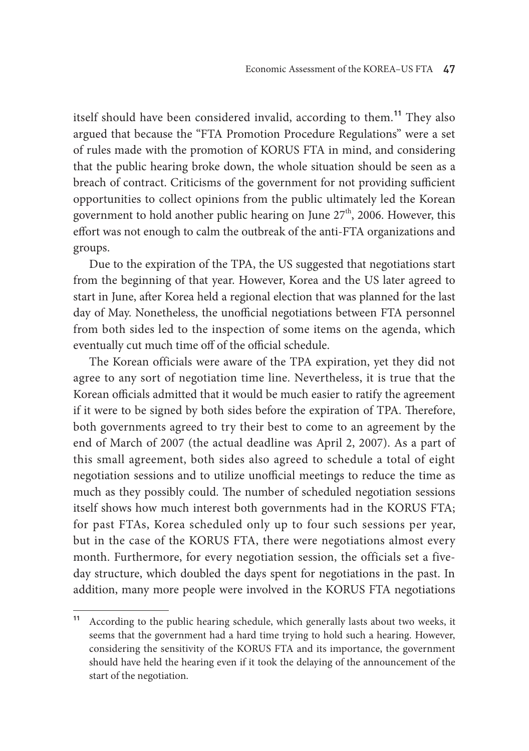itself should have been considered invalid, according to them.**<sup>11</sup>** They also argued that because the "FTA Promotion Procedure Regulations" were a set of rules made with the promotion of KORUS FTA in mind, and considering that the public hearing broke down, the whole situation should be seen as a breach of contract. Criticisms of the government for not providing sufficient opportunities to collect opinions from the public ultimately led the Korean government to hold another public hearing on June  $27<sup>th</sup>$ , 2006. However, this effort was not enough to calm the outbreak of the anti-FTA organizations and groups.

Due to the expiration of the TPA, the US suggested that negotiations start from the beginning of that year. However, Korea and the US later agreed to start in June, after Korea held a regional election that was planned for the last day of May. Nonetheless, the unofficial negotiations between FTA personnel from both sides led to the inspection of some items on the agenda, which eventually cut much time off of the official schedule.

The Korean officials were aware of the TPA expiration, yet they did not agree to any sort of negotiation time line. Nevertheless, it is true that the Korean officials admitted that it would be much easier to ratify the agreement if it were to be signed by both sides before the expiration of TPA. Therefore, both governments agreed to try their best to come to an agreement by the end of March of 2007 (the actual deadline was April 2, 2007). As a part of this small agreement, both sides also agreed to schedule a total of eight negotiation sessions and to utilize unofficial meetings to reduce the time as much as they possibly could. The number of scheduled negotiation sessions itself shows how much interest both governments had in the KORUS FTA; for past FTAs, Korea scheduled only up to four such sessions per year, but in the case of the KORUS FTA, there were negotiations almost every month. Furthermore, for every negotiation session, the officials set a fiveday structure, which doubled the days spent for negotiations in the past. In addition, many more people were involved in the KORUS FTA negotiations

According to the public hearing schedule, which generally lasts about two weeks, it seems that the government had a hard time trying to hold such a hearing. However, considering the sensitivity of the KORUS FTA and its importance, the government should have held the hearing even if it took the delaying of the announcement of the start of the negotiation.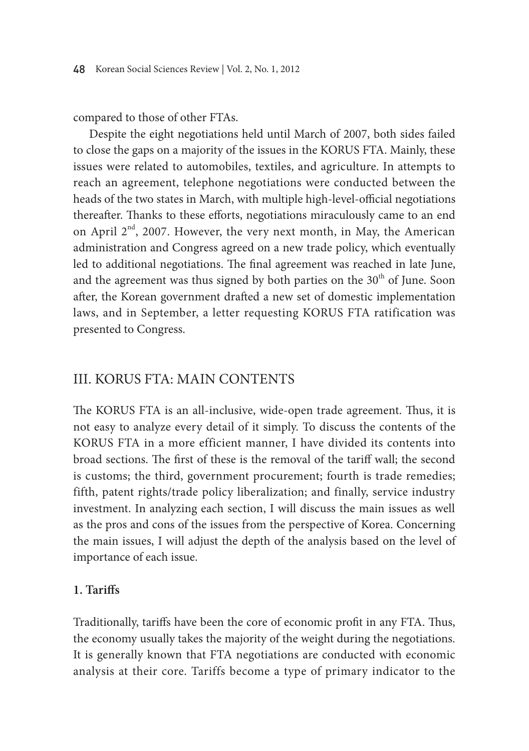compared to those of other FTAs.

Despite the eight negotiations held until March of 2007, both sides failed to close the gaps on a majority of the issues in the KORUS FTA. Mainly, these issues were related to automobiles, textiles, and agriculture. In attempts to reach an agreement, telephone negotiations were conducted between the heads of the two states in March, with multiple high-level-official negotiations thereafter. Thanks to these efforts, negotiations miraculously came to an end on April  $2<sup>nd</sup>$ , 2007. However, the very next month, in May, the American administration and Congress agreed on a new trade policy, which eventually led to additional negotiations. The final agreement was reached in late June, and the agreement was thus signed by both parties on the  $30<sup>th</sup>$  of June. Soon after, the Korean government drafted a new set of domestic implementation laws, and in September, a letter requesting KORUS FTA ratification was presented to Congress.

# III. KORUS FTA: Main Contents

The KORUS FTA is an all-inclusive, wide-open trade agreement. Thus, it is not easy to analyze every detail of it simply. To discuss the contents of the KORUS FTA in a more efficient manner, I have divided its contents into broad sections. The first of these is the removal of the tariff wall; the second is customs; the third, government procurement; fourth is trade remedies; fifth, patent rights/trade policy liberalization; and finally, service industry investment. In analyzing each section, I will discuss the main issues as well as the pros and cons of the issues from the perspective of Korea. Concerning the main issues, I will adjust the depth of the analysis based on the level of importance of each issue.

# **1. Tariffs**

Traditionally, tariffs have been the core of economic profit in any FTA. Thus, the economy usually takes the majority of the weight during the negotiations. It is generally known that FTA negotiations are conducted with economic analysis at their core. Tariffs become a type of primary indicator to the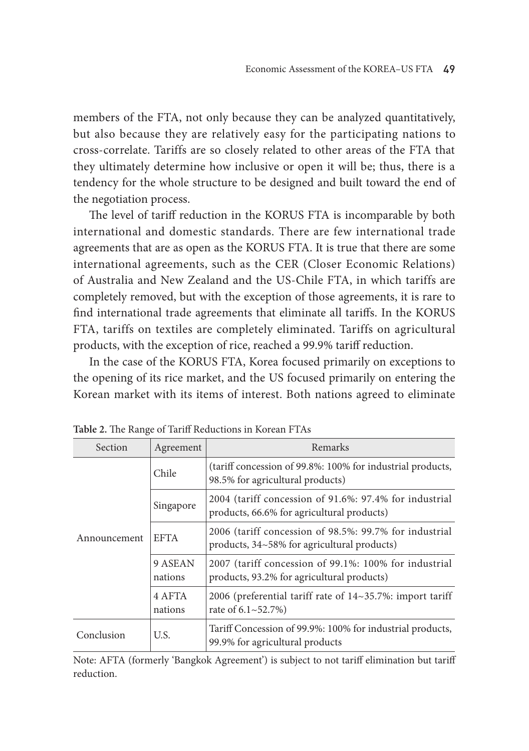members of the FTA, not only because they can be analyzed quantitatively, but also because they are relatively easy for the participating nations to cross-correlate. Tariffs are so closely related to other areas of the FTA that they ultimately determine how inclusive or open it will be; thus, there is a tendency for the whole structure to be designed and built toward the end of the negotiation process.

The level of tariff reduction in the KORUS FTA is incomparable by both international and domestic standards. There are few international trade agreements that are as open as the KORUS FTA. It is true that there are some international agreements, such as the CER (Closer Economic Relations) of Australia and New Zealand and the US-Chile FTA, in which tariffs are completely removed, but with the exception of those agreements, it is rare to find international trade agreements that eliminate all tariffs. In the KORUS FTA, tariffs on textiles are completely eliminated. Tariffs on agricultural products, with the exception of rice, reached a 99.9% tariff reduction.

In the case of the KORUS FTA, Korea focused primarily on exceptions to the opening of its rice market, and the US focused primarily on entering the Korean market with its items of interest. Both nations agreed to eliminate

| <b>Section</b> | Agreement          | Remarks                                                                                               |
|----------------|--------------------|-------------------------------------------------------------------------------------------------------|
|                | Chile              | (tariff concession of 99.8%: 100% for industrial products,<br>98.5% for agricultural products)        |
|                | Singapore          | 2004 (tariff concession of 91.6%: 97.4% for industrial<br>products, 66.6% for agricultural products)  |
| Announcement   | <b>EFTA</b>        | 2006 (tariff concession of 98.5%: 99.7% for industrial<br>products, 34~58% for agricultural products) |
|                | 9 ASEAN<br>nations | 2007 (tariff concession of 99.1%: 100% for industrial<br>products, 93.2% for agricultural products)   |
|                | 4 AFTA<br>nations  | 2006 (preferential tariff rate of $14~35.7\%$ : import tariff<br>rate of $6.1 \times 52.7\%)$         |
| Conclusion     | U.S.               | Tariff Concession of 99.9%: 100% for industrial products,<br>99.9% for agricultural products          |

**Table 2.** The Range of Tariff Reductions in Korean FTAs

Note: AFTA (formerly 'Bangkok Agreement') is subject to not tariff elimination but tariff reduction.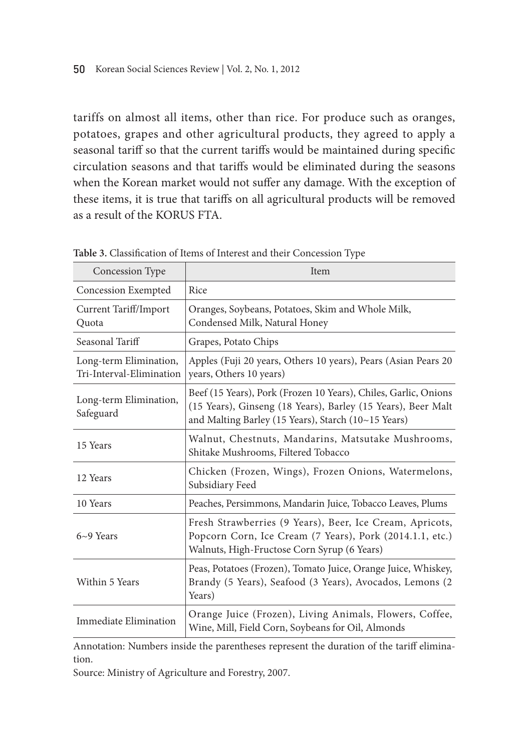tariffs on almost all items, other than rice. For produce such as oranges, potatoes, grapes and other agricultural products, they agreed to apply a seasonal tariff so that the current tariffs would be maintained during specific circulation seasons and that tariffs would be eliminated during the seasons when the Korean market would not suffer any damage. With the exception of these items, it is true that tariffs on all agricultural products will be removed as a result of the KORUS FTA.

| Concession Type                                    | Item                                                                                                                                                                                   |
|----------------------------------------------------|----------------------------------------------------------------------------------------------------------------------------------------------------------------------------------------|
| Concession Exempted                                | Rice                                                                                                                                                                                   |
| Current Tariff/Import<br>Quota                     | Oranges, Soybeans, Potatoes, Skim and Whole Milk,<br>Condensed Milk, Natural Honey                                                                                                     |
| Seasonal Tariff                                    | Grapes, Potato Chips                                                                                                                                                                   |
| Long-term Elimination,<br>Tri-Interval-Elimination | Apples (Fuji 20 years, Others 10 years), Pears (Asian Pears 20<br>years, Others 10 years)                                                                                              |
| Long-term Elimination,<br>Safeguard                | Beef (15 Years), Pork (Frozen 10 Years), Chiles, Garlic, Onions<br>(15 Years), Ginseng (18 Years), Barley (15 Years), Beer Malt<br>and Malting Barley (15 Years), Starch (10~15 Years) |
| 15 Years                                           | Walnut, Chestnuts, Mandarins, Matsutake Mushrooms,<br>Shitake Mushrooms, Filtered Tobacco                                                                                              |
| 12 Years                                           | Chicken (Frozen, Wings), Frozen Onions, Watermelons,<br>Subsidiary Feed                                                                                                                |
| 10 Years                                           | Peaches, Persimmons, Mandarin Juice, Tobacco Leaves, Plums                                                                                                                             |
| $6~9$ Years                                        | Fresh Strawberries (9 Years), Beer, Ice Cream, Apricots,<br>Popcorn Corn, Ice Cream (7 Years), Pork (2014.1.1, etc.)<br>Walnuts, High-Fructose Corn Syrup (6 Years)                    |
| Within 5 Years                                     | Peas, Potatoes (Frozen), Tomato Juice, Orange Juice, Whiskey,<br>Brandy (5 Years), Seafood (3 Years), Avocados, Lemons (2<br>Years)                                                    |
| Immediate Elimination                              | Orange Juice (Frozen), Living Animals, Flowers, Coffee,<br>Wine, Mill, Field Corn, Soybeans for Oil, Almonds                                                                           |

**Table 3.** Classification of Items of Interest and their Concession Type

Annotation: Numbers inside the parentheses represent the duration of the tariff elimination.

Source: Ministry of Agriculture and Forestry, 2007.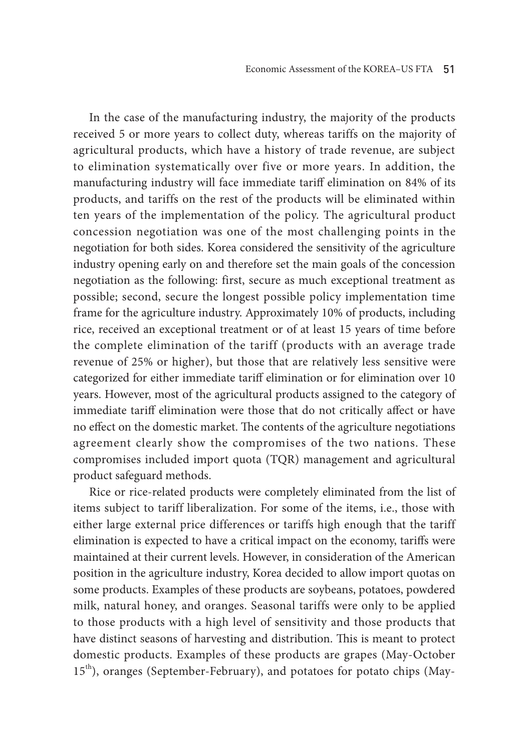In the case of the manufacturing industry, the majority of the products received 5 or more years to collect duty, whereas tariffs on the majority of agricultural products, which have a history of trade revenue, are subject to elimination systematically over five or more years. In addition, the manufacturing industry will face immediate tariff elimination on 84% of its products, and tariffs on the rest of the products will be eliminated within ten years of the implementation of the policy. The agricultural product concession negotiation was one of the most challenging points in the negotiation for both sides. Korea considered the sensitivity of the agriculture industry opening early on and therefore set the main goals of the concession negotiation as the following: first, secure as much exceptional treatment as possible; second, secure the longest possible policy implementation time frame for the agriculture industry. Approximately 10% of products, including rice, received an exceptional treatment or of at least 15 years of time before the complete elimination of the tariff (products with an average trade revenue of 25% or higher), but those that are relatively less sensitive were categorized for either immediate tariff elimination or for elimination over 10 years. However, most of the agricultural products assigned to the category of immediate tariff elimination were those that do not critically affect or have no effect on the domestic market. The contents of the agriculture negotiations agreement clearly show the compromises of the two nations. These compromises included import quota (TQR) management and agricultural product safeguard methods.

Rice or rice-related products were completely eliminated from the list of items subject to tariff liberalization. For some of the items, i.e., those with either large external price differences or tariffs high enough that the tariff elimination is expected to have a critical impact on the economy, tariffs were maintained at their current levels. However, in consideration of the American position in the agriculture industry, Korea decided to allow import quotas on some products. Examples of these products are soybeans, potatoes, powdered milk, natural honey, and oranges. Seasonal tariffs were only to be applied to those products with a high level of sensitivity and those products that have distinct seasons of harvesting and distribution. This is meant to protect domestic products. Examples of these products are grapes (May-October 15<sup>th</sup>), oranges (September-February), and potatoes for potato chips (May-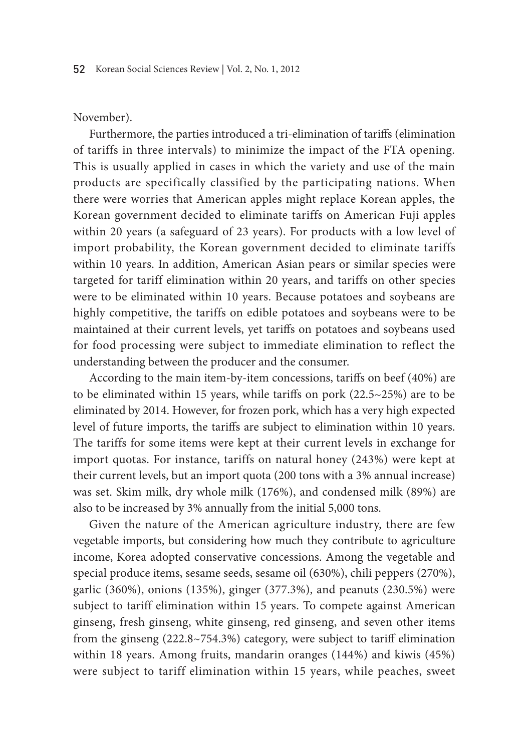#### November).

Furthermore, the parties introduced a tri-elimination of tariffs (elimination of tariffs in three intervals) to minimize the impact of the FTA opening. This is usually applied in cases in which the variety and use of the main products are specifically classified by the participating nations. When there were worries that American apples might replace Korean apples, the Korean government decided to eliminate tariffs on American Fuji apples within 20 years (a safeguard of 23 years). For products with a low level of import probability, the Korean government decided to eliminate tariffs within 10 years. In addition, American Asian pears or similar species were targeted for tariff elimination within 20 years, and tariffs on other species were to be eliminated within 10 years. Because potatoes and soybeans are highly competitive, the tariffs on edible potatoes and soybeans were to be maintained at their current levels, yet tariffs on potatoes and soybeans used for food processing were subject to immediate elimination to reflect the understanding between the producer and the consumer.

According to the main item-by-item concessions, tariffs on beef (40%) are to be eliminated within 15 years, while tariffs on pork (22.5~25%) are to be eliminated by 2014. However, for frozen pork, which has a very high expected level of future imports, the tariffs are subject to elimination within 10 years. The tariffs for some items were kept at their current levels in exchange for import quotas. For instance, tariffs on natural honey (243%) were kept at their current levels, but an import quota (200 tons with a 3% annual increase) was set. Skim milk, dry whole milk (176%), and condensed milk (89%) are also to be increased by 3% annually from the initial 5,000 tons.

Given the nature of the American agriculture industry, there are few vegetable imports, but considering how much they contribute to agriculture income, Korea adopted conservative concessions. Among the vegetable and special produce items, sesame seeds, sesame oil (630%), chili peppers (270%), garlic (360%), onions (135%), ginger (377.3%), and peanuts (230.5%) were subject to tariff elimination within 15 years. To compete against American ginseng, fresh ginseng, white ginseng, red ginseng, and seven other items from the ginseng (222.8~754.3%) category, were subject to tariff elimination within 18 years. Among fruits, mandarin oranges (144%) and kiwis (45%) were subject to tariff elimination within 15 years, while peaches, sweet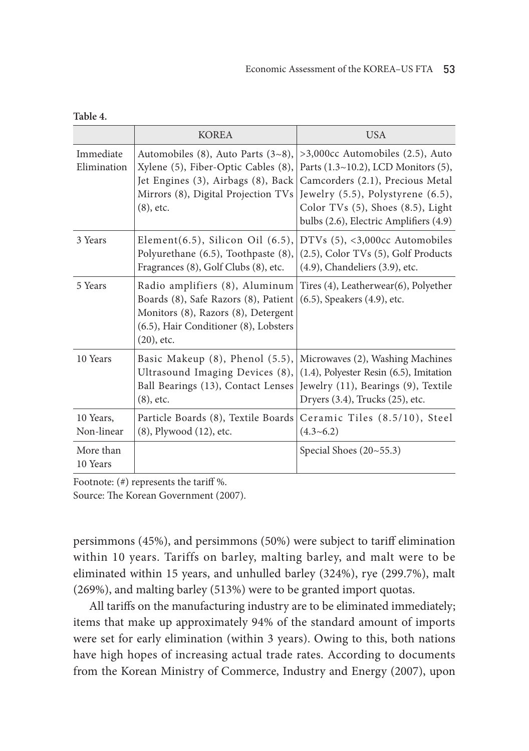|                          | <b>KOREA</b>                                                                                                                                                                                               | <b>USA</b>                                                                                                                                                                                                                                     |
|--------------------------|------------------------------------------------------------------------------------------------------------------------------------------------------------------------------------------------------------|------------------------------------------------------------------------------------------------------------------------------------------------------------------------------------------------------------------------------------------------|
| Immediate<br>Elimination | Automobiles (8), Auto Parts $(3-8)$ ,<br>Xylene (5), Fiber-Optic Cables (8),<br>Jet Engines (3), Airbags (8), Back<br>Mirrors (8), Digital Projection TVs<br>$(8)$ , etc.                                  | $>3,000$ cc Automobiles (2.5), Auto<br>Parts $(1.3~10.2)$ , LCD Monitors $(5)$ ,<br>Camcorders (2.1), Precious Metal<br>Jewelry $(5.5)$ , Polystyrene $(6.5)$ ,<br>Color TVs (5), Shoes (8.5), Light<br>bulbs (2.6), Electric Amplifiers (4.9) |
| 3 Years                  | Element(6.5), Silicon Oil $(6.5)$ ,<br>Polyurethane (6.5), Toothpaste (8),<br>Fragrances (8), Golf Clubs (8), etc.                                                                                         | DTVs $(5)$ , <3,000 $cc$ Automobiles<br>(2.5), Color TVs (5), Golf Products<br>$(4.9)$ , Chandeliers $(3.9)$ , etc.                                                                                                                            |
| 5 Years                  | Radio amplifiers (8), Aluminum<br>Boards (8), Safe Razors (8), Patient<br>Monitors (8), Razors (8), Detergent<br>(6.5), Hair Conditioner (8), Lobsters<br>$(20)$ , etc.                                    | Tires $(4)$ , Leatherwear $(6)$ , Polyether<br>(6.5), Speakers (4.9), etc.                                                                                                                                                                     |
| 10 Years                 | Basic Makeup (8), Phenol (5.5), Microwaves (2), Washing Machines<br>Ultrasound Imaging Devices $(8)$ , $(1.4)$ , Polyester Resin $(6.5)$ , Imitation<br>Ball Bearings (13), Contact Lenses<br>$(8)$ , etc. | Jewelry (11), Bearings (9), Textile<br>Dryers (3.4), Trucks (25), etc.                                                                                                                                                                         |
| 10 Years,<br>Non-linear  | Particle Boards (8), Textile Boards<br>(8), Plywood (12), etc.                                                                                                                                             | Ceramic Tiles (8.5/10), Steel<br>$(4.3 - 6.2)$                                                                                                                                                                                                 |
| More than<br>10 Years    |                                                                                                                                                                                                            | Special Shoes $(20~55.3)$                                                                                                                                                                                                                      |

| ×<br>. . | ٧ |  |
|----------|---|--|
|          |   |  |

Footnote: (#) represents the tariff %.

Source: The Korean Government (2007).

persimmons (45%), and persimmons (50%) were subject to tariff elimination within 10 years. Tariffs on barley, malting barley, and malt were to be eliminated within 15 years, and unhulled barley (324%), rye (299.7%), malt (269%), and malting barley (513%) were to be granted import quotas.

All tariffs on the manufacturing industry are to be eliminated immediately; items that make up approximately 94% of the standard amount of imports were set for early elimination (within 3 years). Owing to this, both nations have high hopes of increasing actual trade rates. According to documents from the Korean Ministry of Commerce, Industry and Energy (2007), upon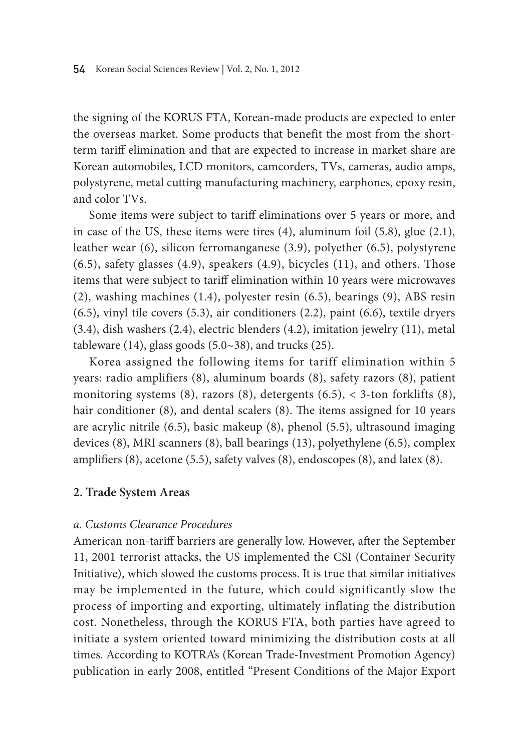the signing of the KORUS FTA, Korean-made products are expected to enter the overseas market. Some products that benefit the most from the shortterm tariff elimination and that are expected to increase in market share are Korean automobiles, LCD monitors, camcorders, TVs, cameras, audio amps, polystyrene, metal cutting manufacturing machinery, earphones, epoxy resin, and color TVs.

Some items were subject to tariff eliminations over 5 years or more, and in case of the US, these items were tires (4), aluminum foil (5.8), glue (2.1), leather wear (6), silicon ferromanganese (3.9), polyether (6.5), polystyrene (6.5), safety glasses (4.9), speakers (4.9), bicycles (11), and others. Those items that were subject to tariff elimination within 10 years were microwaves (2), washing machines (1.4), polyester resin (6.5), bearings (9), ABS resin (6.5), vinyl tile covers (5.3), air conditioners (2.2), paint (6.6), textile dryers (3.4), dish washers (2.4), electric blenders (4.2), imitation jewelry (11), metal tableware  $(14)$ , glass goods  $(5.0~38)$ , and trucks  $(25)$ .

Korea assigned the following items for tariff elimination within 5 years: radio amplifiers (8), aluminum boards (8), safety razors (8), patient monitoring systems (8), razors (8), detergents (6.5), < 3-ton forklifts (8), hair conditioner (8), and dental scalers (8). The items assigned for 10 years are acrylic nitrile (6.5), basic makeup (8), phenol (5.5), ultrasound imaging devices (8), MRI scanners (8), ball bearings (13), polyethylene (6.5), complex amplifiers (8), acetone (5.5), safety valves (8), endoscopes (8), and latex (8).

# **2. Trade System Areas**

# *a. Customs Clearance Procedures*

American non-tariff barriers are generally low. However, after the September 11, 2001 terrorist attacks, the US implemented the CSI (Container Security Initiative), which slowed the customs process. It is true that similar initiatives may be implemented in the future, which could significantly slow the process of importing and exporting, ultimately inflating the distribution cost. Nonetheless, through the KORUS FTA, both parties have agreed to initiate a system oriented toward minimizing the distribution costs at all times. According to KOTRA's (Korean Trade-Investment Promotion Agency) publication in early 2008, entitled "Present Conditions of the Major Export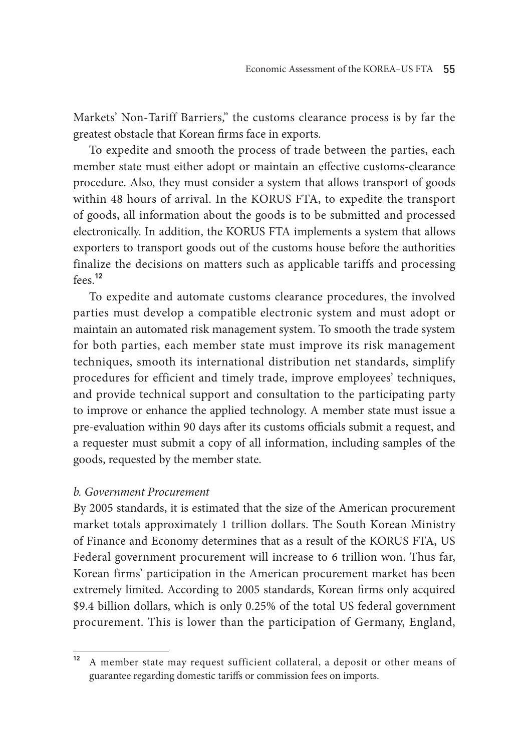Markets' Non-Tariff Barriers," the customs clearance process is by far the greatest obstacle that Korean firms face in exports.

To expedite and smooth the process of trade between the parties, each member state must either adopt or maintain an effective customs-clearance procedure. Also, they must consider a system that allows transport of goods within 48 hours of arrival. In the KORUS FTA, to expedite the transport of goods, all information about the goods is to be submitted and processed electronically. In addition, the KORUS FTA implements a system that allows exporters to transport goods out of the customs house before the authorities finalize the decisions on matters such as applicable tariffs and processing fees.**<sup>12</sup>**

To expedite and automate customs clearance procedures, the involved parties must develop a compatible electronic system and must adopt or maintain an automated risk management system. To smooth the trade system for both parties, each member state must improve its risk management techniques, smooth its international distribution net standards, simplify procedures for efficient and timely trade, improve employees' techniques, and provide technical support and consultation to the participating party to improve or enhance the applied technology. A member state must issue a pre-evaluation within 90 days after its customs officials submit a request, and a requester must submit a copy of all information, including samples of the goods, requested by the member state.

### *b. Government Procurement*

By 2005 standards, it is estimated that the size of the American procurement market totals approximately 1 trillion dollars. The South Korean Ministry of Finance and Economy determines that as a result of the KORUS FTA, US Federal government procurement will increase to 6 trillion won. Thus far, Korean firms' participation in the American procurement market has been extremely limited. According to 2005 standards, Korean firms only acquired \$9.4 billion dollars, which is only 0.25% of the total US federal government procurement. This is lower than the participation of Germany, England,

**<sup>12</sup>** A member state may request sufficient collateral, a deposit or other means of guarantee regarding domestic tariffs or commission fees on imports.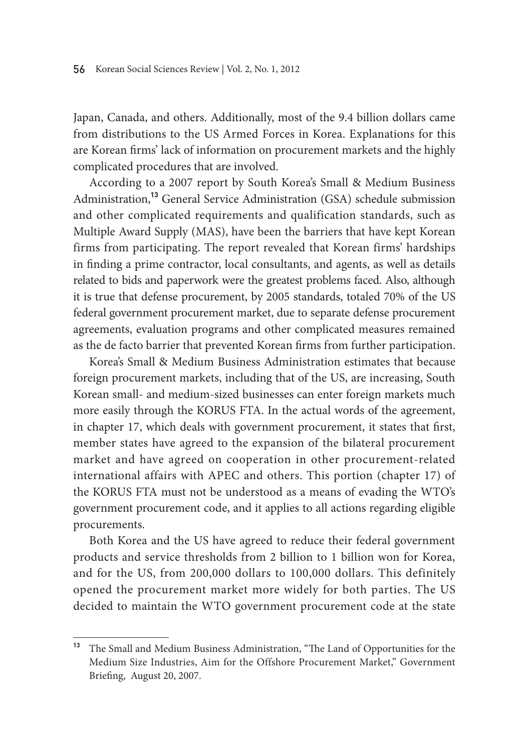Japan, Canada, and others. Additionally, most of the 9.4 billion dollars came from distributions to the US Armed Forces in Korea. Explanations for this are Korean firms' lack of information on procurement markets and the highly complicated procedures that are involved.

According to a 2007 report by South Korea's Small & Medium Business Administration,**<sup>13</sup>** General Service Administration (GSA) schedule submission and other complicated requirements and qualification standards, such as Multiple Award Supply (MAS), have been the barriers that have kept Korean firms from participating. The report revealed that Korean firms' hardships in finding a prime contractor, local consultants, and agents, as well as details related to bids and paperwork were the greatest problems faced. Also, although it is true that defense procurement, by 2005 standards, totaled 70% of the US federal government procurement market, due to separate defense procurement agreements, evaluation programs and other complicated measures remained as the de facto barrier that prevented Korean firms from further participation.

Korea's Small & Medium Business Administration estimates that because foreign procurement markets, including that of the US, are increasing, South Korean small- and medium-sized businesses can enter foreign markets much more easily through the KORUS FTA. In the actual words of the agreement, in chapter 17, which deals with government procurement, it states that first, member states have agreed to the expansion of the bilateral procurement market and have agreed on cooperation in other procurement-related international affairs with APEC and others. This portion (chapter 17) of the KORUS FTA must not be understood as a means of evading the WTO's government procurement code, and it applies to all actions regarding eligible procurements.

Both Korea and the US have agreed to reduce their federal government products and service thresholds from 2 billion to 1 billion won for Korea, and for the US, from 200,000 dollars to 100,000 dollars. This definitely opened the procurement market more widely for both parties. The US decided to maintain the WTO government procurement code at the state

**<sup>13</sup>** The Small and Medium Business Administration, "The Land of Opportunities for the Medium Size Industries, Aim for the Offshore Procurement Market," Government Briefing, August 20, 2007.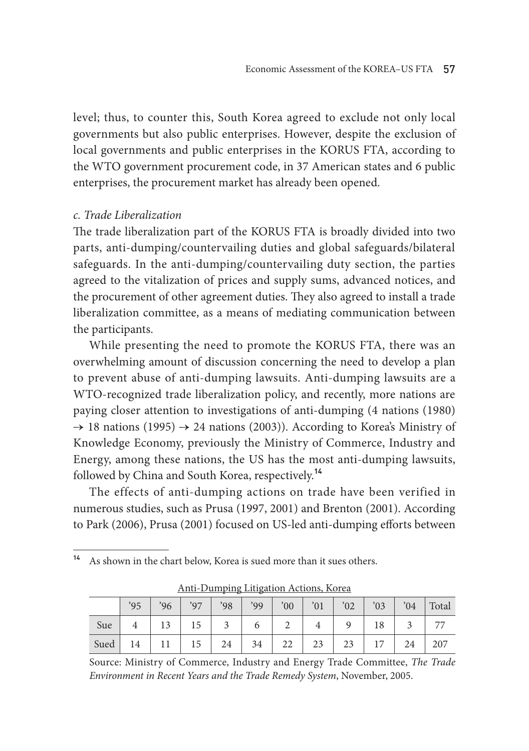level; thus, to counter this, South Korea agreed to exclude not only local governments but also public enterprises. However, despite the exclusion of local governments and public enterprises in the KORUS FTA, according to the WTO government procurement code, in 37 American states and 6 public enterprises, the procurement market has already been opened.

### *c. Trade Liberalization*

The trade liberalization part of the KORUS FTA is broadly divided into two parts, anti-dumping/countervailing duties and global safeguards/bilateral safeguards. In the anti-dumping/countervailing duty section, the parties agreed to the vitalization of prices and supply sums, advanced notices, and the procurement of other agreement duties. They also agreed to install a trade liberalization committee, as a means of mediating communication between the participants.

While presenting the need to promote the KORUS FTA, there was an overwhelming amount of discussion concerning the need to develop a plan to prevent abuse of anti-dumping lawsuits. Anti-dumping lawsuits are a WTO-recognized trade liberalization policy, and recently, more nations are paying closer attention to investigations of anti-dumping (4 nations (1980)  $\rightarrow$  18 nations (1995)  $\rightarrow$  24 nations (2003)). According to Korea's Ministry of Knowledge Economy, previously the Ministry of Commerce, Industry and Energy, among these nations, the US has the most anti-dumping lawsuits, followed by China and South Korea, respectively.**<sup>14</sup>**

The effects of anti-dumping actions on trade have been verified in numerous studies, such as Prusa (1997, 2001) and Brenton (2001). According to Park (2006), Prusa (2001) focused on US-led anti-dumping efforts between

**<sup>14</sup>** As shown in the chart below, Korea is sued more than it sues others.

|      | '95            | '96' | '97 | '98 | '99 | 00' | $\cdot$ 01 $\cdot$ | $^{\prime}02$ | $^{\prime}03$ |    | $04$ Total |
|------|----------------|------|-----|-----|-----|-----|--------------------|---------------|---------------|----|------------|
| Sue  | $\overline{4}$ | 13   | 15  |     | 6   | ∠   |                    |               | 18            |    | 77         |
| Sued | 14             |      | 15  | 24  | 34  | 22  | 23                 | 23            | 17            | 24 | 207        |

Anti-Dumping Litigation Actions, Korea

Source: Ministry of Commerce, Industry and Energy Trade Committee, *The Trade Environment in Recent Years and the Trade Remedy System*, November, 2005.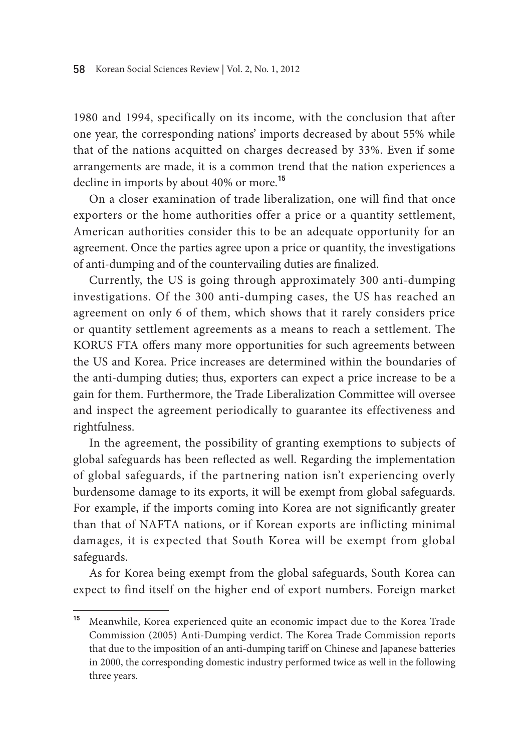1980 and 1994, specifically on its income, with the conclusion that after one year, the corresponding nations' imports decreased by about 55% while that of the nations acquitted on charges decreased by 33%. Even if some arrangements are made, it is a common trend that the nation experiences a decline in imports by about 40% or more.**<sup>15</sup>**

On a closer examination of trade liberalization, one will find that once exporters or the home authorities offer a price or a quantity settlement, American authorities consider this to be an adequate opportunity for an agreement. Once the parties agree upon a price or quantity, the investigations of anti-dumping and of the countervailing duties are finalized.

Currently, the US is going through approximately 300 anti-dumping investigations. Of the 300 anti-dumping cases, the US has reached an agreement on only 6 of them, which shows that it rarely considers price or quantity settlement agreements as a means to reach a settlement. The KORUS FTA offers many more opportunities for such agreements between the US and Korea. Price increases are determined within the boundaries of the anti-dumping duties; thus, exporters can expect a price increase to be a gain for them. Furthermore, the Trade Liberalization Committee will oversee and inspect the agreement periodically to guarantee its effectiveness and rightfulness.

In the agreement, the possibility of granting exemptions to subjects of global safeguards has been reflected as well. Regarding the implementation of global safeguards, if the partnering nation isn't experiencing overly burdensome damage to its exports, it will be exempt from global safeguards. For example, if the imports coming into Korea are not significantly greater than that of NAFTA nations, or if Korean exports are inflicting minimal damages, it is expected that South Korea will be exempt from global safeguards.

As for Korea being exempt from the global safeguards, South Korea can expect to find itself on the higher end of export numbers. Foreign market

**<sup>15</sup>** Meanwhile, Korea experienced quite an economic impact due to the Korea Trade Commission (2005) Anti-Dumping verdict. The Korea Trade Commission reports that due to the imposition of an anti-dumping tariff on Chinese and Japanese batteries in 2000, the corresponding domestic industry performed twice as well in the following three years.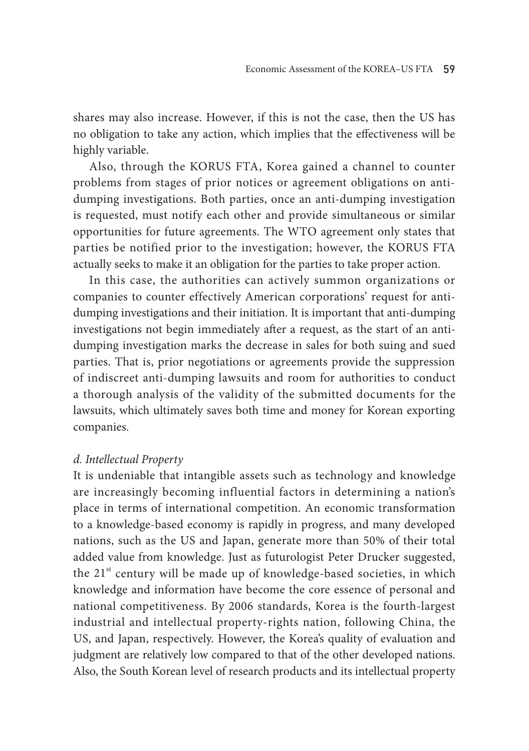shares may also increase. However, if this is not the case, then the US has no obligation to take any action, which implies that the effectiveness will be highly variable.

Also, through the KORUS FTA, Korea gained a channel to counter problems from stages of prior notices or agreement obligations on antidumping investigations. Both parties, once an anti-dumping investigation is requested, must notify each other and provide simultaneous or similar opportunities for future agreements. The WTO agreement only states that parties be notified prior to the investigation; however, the KORUS FTA actually seeks to make it an obligation for the parties to take proper action.

In this case, the authorities can actively summon organizations or companies to counter effectively American corporations' request for antidumping investigations and their initiation. It is important that anti-dumping investigations not begin immediately after a request, as the start of an antidumping investigation marks the decrease in sales for both suing and sued parties. That is, prior negotiations or agreements provide the suppression of indiscreet anti-dumping lawsuits and room for authorities to conduct a thorough analysis of the validity of the submitted documents for the lawsuits, which ultimately saves both time and money for Korean exporting companies.

### *d. Intellectual Property*

It is undeniable that intangible assets such as technology and knowledge are increasingly becoming influential factors in determining a nation's place in terms of international competition. An economic transformation to a knowledge-based economy is rapidly in progress, and many developed nations, such as the US and Japan, generate more than 50% of their total added value from knowledge. Just as futurologist Peter Drucker suggested, the 21<sup>st</sup> century will be made up of knowledge-based societies, in which knowledge and information have become the core essence of personal and national competitiveness. By 2006 standards, Korea is the fourth-largest industrial and intellectual property-rights nation, following China, the US, and Japan, respectively. However, the Korea's quality of evaluation and judgment are relatively low compared to that of the other developed nations. Also, the South Korean level of research products and its intellectual property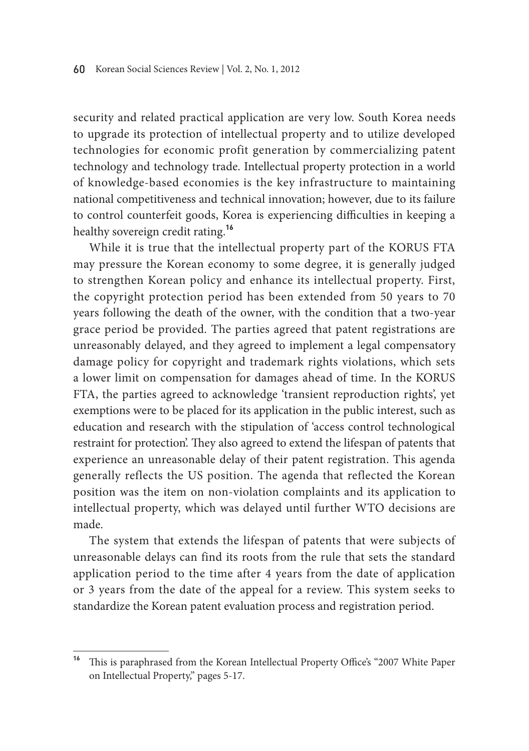security and related practical application are very low. South Korea needs to upgrade its protection of intellectual property and to utilize developed technologies for economic profit generation by commercializing patent technology and technology trade. Intellectual property protection in a world of knowledge-based economies is the key infrastructure to maintaining national competitiveness and technical innovation; however, due to its failure to control counterfeit goods, Korea is experiencing difficulties in keeping a healthy sovereign credit rating.**<sup>16</sup>**

While it is true that the intellectual property part of the KORUS FTA may pressure the Korean economy to some degree, it is generally judged to strengthen Korean policy and enhance its intellectual property. First, the copyright protection period has been extended from 50 years to 70 years following the death of the owner, with the condition that a two-year grace period be provided. The parties agreed that patent registrations are unreasonably delayed, and they agreed to implement a legal compensatory damage policy for copyright and trademark rights violations, which sets a lower limit on compensation for damages ahead of time. In the KORUS FTA, the parties agreed to acknowledge 'transient reproduction rights', yet exemptions were to be placed for its application in the public interest, such as education and research with the stipulation of 'access control technological restraint for protection'. They also agreed to extend the lifespan of patents that experience an unreasonable delay of their patent registration. This agenda generally reflects the US position. The agenda that reflected the Korean position was the item on non-violation complaints and its application to intellectual property, which was delayed until further WTO decisions are made.

The system that extends the lifespan of patents that were subjects of unreasonable delays can find its roots from the rule that sets the standard application period to the time after 4 years from the date of application or 3 years from the date of the appeal for a review. This system seeks to standardize the Korean patent evaluation process and registration period.

**<sup>16</sup>** This is paraphrased from the Korean Intellectual Property Office's "2007 White Paper on Intellectual Property," pages 5-17.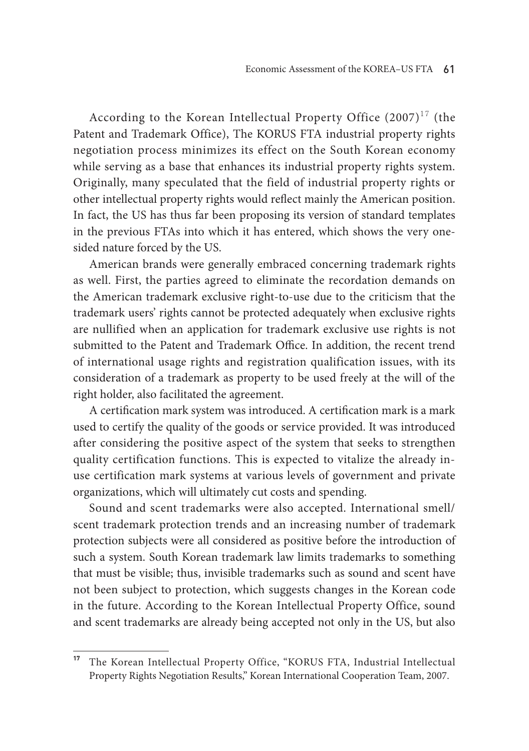According to the Korean Intellectual Property Office  $(2007)^{17}$  (the Patent and Trademark Office), The KORUS FTA industrial property rights negotiation process minimizes its effect on the South Korean economy while serving as a base that enhances its industrial property rights system. Originally, many speculated that the field of industrial property rights or other intellectual property rights would reflect mainly the American position. In fact, the US has thus far been proposing its version of standard templates in the previous FTAs into which it has entered, which shows the very onesided nature forced by the US.

American brands were generally embraced concerning trademark rights as well. First, the parties agreed to eliminate the recordation demands on the American trademark exclusive right-to-use due to the criticism that the trademark users' rights cannot be protected adequately when exclusive rights are nullified when an application for trademark exclusive use rights is not submitted to the Patent and Trademark Office. In addition, the recent trend of international usage rights and registration qualification issues, with its consideration of a trademark as property to be used freely at the will of the right holder, also facilitated the agreement.

A certification mark system was introduced. A certification mark is a mark used to certify the quality of the goods or service provided. It was introduced after considering the positive aspect of the system that seeks to strengthen quality certification functions. This is expected to vitalize the already inuse certification mark systems at various levels of government and private organizations, which will ultimately cut costs and spending.

Sound and scent trademarks were also accepted. International smell/ scent trademark protection trends and an increasing number of trademark protection subjects were all considered as positive before the introduction of such a system. South Korean trademark law limits trademarks to something that must be visible; thus, invisible trademarks such as sound and scent have not been subject to protection, which suggests changes in the Korean code in the future. According to the Korean Intellectual Property Office, sound and scent trademarks are already being accepted not only in the US, but also

**<sup>17</sup>** The Korean Intellectual Property Office, "KORUS FTA, Industrial Intellectual Property Rights Negotiation Results," Korean International Cooperation Team, 2007.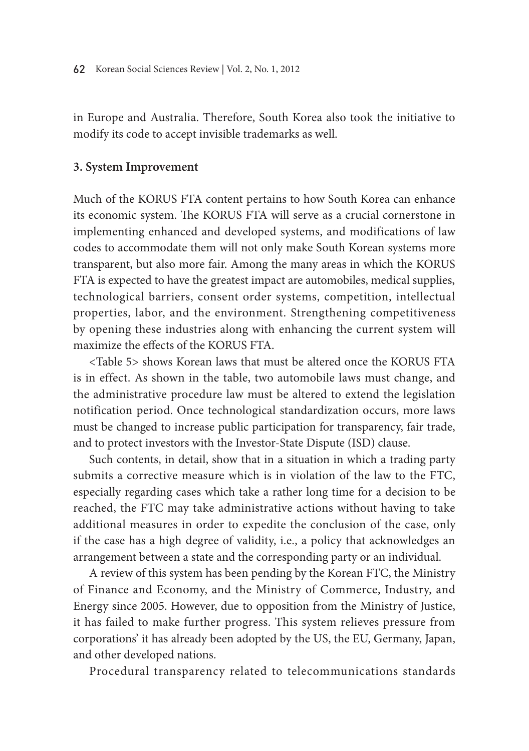in Europe and Australia. Therefore, South Korea also took the initiative to modify its code to accept invisible trademarks as well.

#### **3. System Improvement**

Much of the KORUS FTA content pertains to how South Korea can enhance its economic system. The KORUS FTA will serve as a crucial cornerstone in implementing enhanced and developed systems, and modifications of law codes to accommodate them will not only make South Korean systems more transparent, but also more fair. Among the many areas in which the KORUS FTA is expected to have the greatest impact are automobiles, medical supplies, technological barriers, consent order systems, competition, intellectual properties, labor, and the environment. Strengthening competitiveness by opening these industries along with enhancing the current system will maximize the effects of the KORUS FTA.

<Table 5> shows Korean laws that must be altered once the KORUS FTA is in effect. As shown in the table, two automobile laws must change, and the administrative procedure law must be altered to extend the legislation notification period. Once technological standardization occurs, more laws must be changed to increase public participation for transparency, fair trade, and to protect investors with the Investor-State Dispute (ISD) clause.

Such contents, in detail, show that in a situation in which a trading party submits a corrective measure which is in violation of the law to the FTC, especially regarding cases which take a rather long time for a decision to be reached, the FTC may take administrative actions without having to take additional measures in order to expedite the conclusion of the case, only if the case has a high degree of validity, i.e., a policy that acknowledges an arrangement between a state and the corresponding party or an individual.

A review of this system has been pending by the Korean FTC, the Ministry of Finance and Economy, and the Ministry of Commerce, Industry, and Energy since 2005. However, due to opposition from the Ministry of Justice, it has failed to make further progress. This system relieves pressure from corporations' it has already been adopted by the US, the EU, Germany, Japan, and other developed nations.

Procedural transparency related to telecommunications standards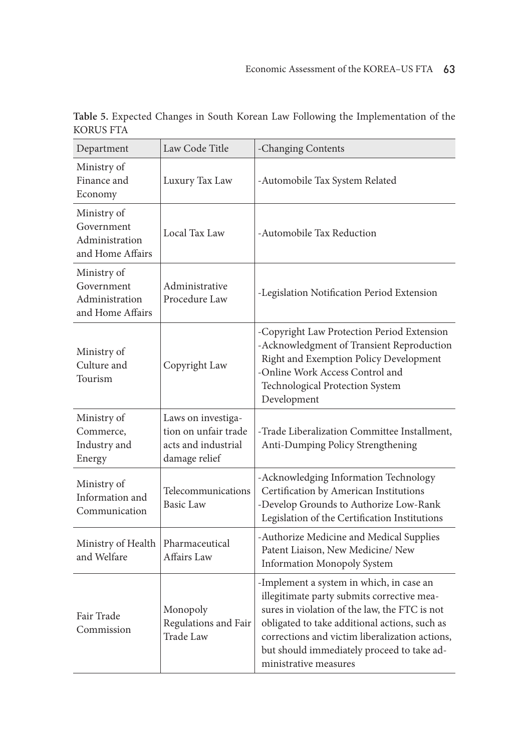| Department                                                      | Law Code Title                                                                     | -Changing Contents                                                                                                                                                                                                                                                                                                |
|-----------------------------------------------------------------|------------------------------------------------------------------------------------|-------------------------------------------------------------------------------------------------------------------------------------------------------------------------------------------------------------------------------------------------------------------------------------------------------------------|
| Ministry of<br>Finance and<br>Economy                           | Luxury Tax Law                                                                     | -Automobile Tax System Related                                                                                                                                                                                                                                                                                    |
| Ministry of<br>Government<br>Administration<br>and Home Affairs | Local Tax Law                                                                      | -Automobile Tax Reduction                                                                                                                                                                                                                                                                                         |
| Ministry of<br>Government<br>Administration<br>and Home Affairs | Administrative<br>Procedure Law                                                    | -Legislation Notification Period Extension                                                                                                                                                                                                                                                                        |
| Ministry of<br>Culture and<br>Tourism                           | Copyright Law                                                                      | -Copyright Law Protection Period Extension<br>-Acknowledgment of Transient Reproduction<br>Right and Exemption Policy Development<br>-Online Work Access Control and<br><b>Technological Protection System</b><br>Development                                                                                     |
| Ministry of<br>Commerce,<br>Industry and<br>Energy              | Laws on investiga-<br>tion on unfair trade<br>acts and industrial<br>damage relief | -Trade Liberalization Committee Installment,<br>Anti-Dumping Policy Strengthening                                                                                                                                                                                                                                 |
| Ministry of<br>Information and<br>Communication                 | Telecommunications<br>Basic Law                                                    | -Acknowledging Information Technology<br>Certification by American Institutions<br>-Develop Grounds to Authorize Low-Rank<br>Legislation of the Certification Institutions                                                                                                                                        |
| Ministry of Health<br>and Welfare                               | Pharmaceutical<br>Affairs Law                                                      | -Authorize Medicine and Medical Supplies<br>Patent Liaison, New Medicine/ New<br><b>Information Monopoly System</b>                                                                                                                                                                                               |
| Fair Trade<br>Commission                                        | Monopoly<br>Regulations and Fair<br>Trade Law                                      | -Implement a system in which, in case an<br>illegitimate party submits corrective mea-<br>sures in violation of the law, the FTC is not<br>obligated to take additional actions, such as<br>corrections and victim liberalization actions,<br>but should immediately proceed to take ad-<br>ministrative measures |

**Table 5.** Expected Changes in South Korean Law Following the Implementation of the KORUS FTA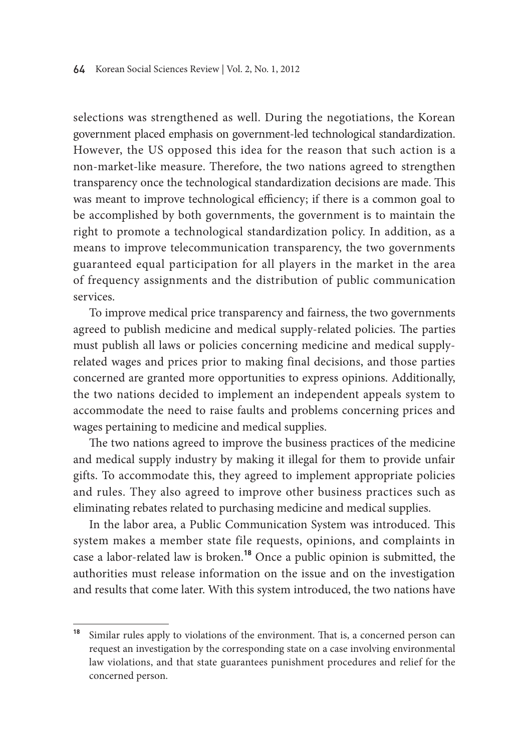selections was strengthened as well. During the negotiations, the Korean government placed emphasis on government-led technological standardization. However, the US opposed this idea for the reason that such action is a non-market-like measure. Therefore, the two nations agreed to strengthen transparency once the technological standardization decisions are made. This was meant to improve technological efficiency; if there is a common goal to be accomplished by both governments, the government is to maintain the right to promote a technological standardization policy. In addition, as a means to improve telecommunication transparency, the two governments guaranteed equal participation for all players in the market in the area of frequency assignments and the distribution of public communication services.

To improve medical price transparency and fairness, the two governments agreed to publish medicine and medical supply-related policies. The parties must publish all laws or policies concerning medicine and medical supplyrelated wages and prices prior to making final decisions, and those parties concerned are granted more opportunities to express opinions. Additionally, the two nations decided to implement an independent appeals system to accommodate the need to raise faults and problems concerning prices and wages pertaining to medicine and medical supplies.

The two nations agreed to improve the business practices of the medicine and medical supply industry by making it illegal for them to provide unfair gifts. To accommodate this, they agreed to implement appropriate policies and rules. They also agreed to improve other business practices such as eliminating rebates related to purchasing medicine and medical supplies.

In the labor area, a Public Communication System was introduced. This system makes a member state file requests, opinions, and complaints in case a labor-related law is broken.**<sup>18</sup>** Once a public opinion is submitted, the authorities must release information on the issue and on the investigation and results that come later. With this system introduced, the two nations have

**<sup>18</sup>** Similar rules apply to violations of the environment. That is, a concerned person can request an investigation by the corresponding state on a case involving environmental law violations, and that state guarantees punishment procedures and relief for the concerned person.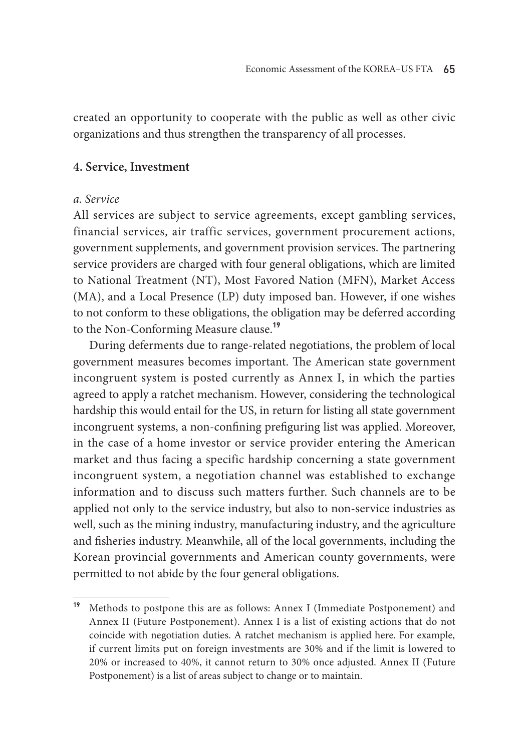created an opportunity to cooperate with the public as well as other civic organizations and thus strengthen the transparency of all processes.

#### **4. Service, Investment**

#### *a. Service*

All services are subject to service agreements, except gambling services, financial services, air traffic services, government procurement actions, government supplements, and government provision services. The partnering service providers are charged with four general obligations, which are limited to National Treatment (NT), Most Favored Nation (MFN), Market Access (MA), and a Local Presence (LP) duty imposed ban. However, if one wishes to not conform to these obligations, the obligation may be deferred according to the Non-Conforming Measure clause.**<sup>19</sup>**

During deferments due to range-related negotiations, the problem of local government measures becomes important. The American state government incongruent system is posted currently as Annex I, in which the parties agreed to apply a ratchet mechanism. However, considering the technological hardship this would entail for the US, in return for listing all state government incongruent systems, a non-confining prefiguring list was applied. Moreover, in the case of a home investor or service provider entering the American market and thus facing a specific hardship concerning a state government incongruent system, a negotiation channel was established to exchange information and to discuss such matters further. Such channels are to be applied not only to the service industry, but also to non-service industries as well, such as the mining industry, manufacturing industry, and the agriculture and fisheries industry. Meanwhile, all of the local governments, including the Korean provincial governments and American county governments, were permitted to not abide by the four general obligations.

**<sup>19</sup>** Methods to postpone this are as follows: Annex I (Immediate Postponement) and Annex II (Future Postponement). Annex I is a list of existing actions that do not coincide with negotiation duties. A ratchet mechanism is applied here. For example, if current limits put on foreign investments are 30% and if the limit is lowered to 20% or increased to 40%, it cannot return to 30% once adjusted. Annex II (Future Postponement) is a list of areas subject to change or to maintain.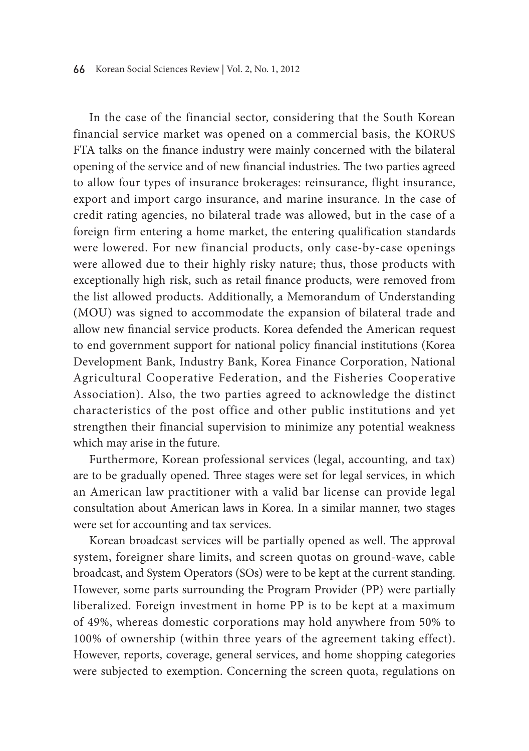In the case of the financial sector, considering that the South Korean financial service market was opened on a commercial basis, the KORUS FTA talks on the finance industry were mainly concerned with the bilateral opening of the service and of new financial industries. The two parties agreed to allow four types of insurance brokerages: reinsurance, flight insurance, export and import cargo insurance, and marine insurance. In the case of credit rating agencies, no bilateral trade was allowed, but in the case of a foreign firm entering a home market, the entering qualification standards were lowered. For new financial products, only case-by-case openings were allowed due to their highly risky nature; thus, those products with exceptionally high risk, such as retail finance products, were removed from the list allowed products. Additionally, a Memorandum of Understanding (MOU) was signed to accommodate the expansion of bilateral trade and allow new financial service products. Korea defended the American request to end government support for national policy financial institutions (Korea Development Bank, Industry Bank, Korea Finance Corporation, National Agricultural Cooperative Federation, and the Fisheries Cooperative Association). Also, the two parties agreed to acknowledge the distinct characteristics of the post office and other public institutions and yet strengthen their financial supervision to minimize any potential weakness which may arise in the future.

Furthermore, Korean professional services (legal, accounting, and tax) are to be gradually opened. Three stages were set for legal services, in which an American law practitioner with a valid bar license can provide legal consultation about American laws in Korea. In a similar manner, two stages were set for accounting and tax services.

Korean broadcast services will be partially opened as well. The approval system, foreigner share limits, and screen quotas on ground-wave, cable broadcast, and System Operators (SOs) were to be kept at the current standing. However, some parts surrounding the Program Provider (PP) were partially liberalized. Foreign investment in home PP is to be kept at a maximum of 49%, whereas domestic corporations may hold anywhere from 50% to 100% of ownership (within three years of the agreement taking effect). However, reports, coverage, general services, and home shopping categories were subjected to exemption. Concerning the screen quota, regulations on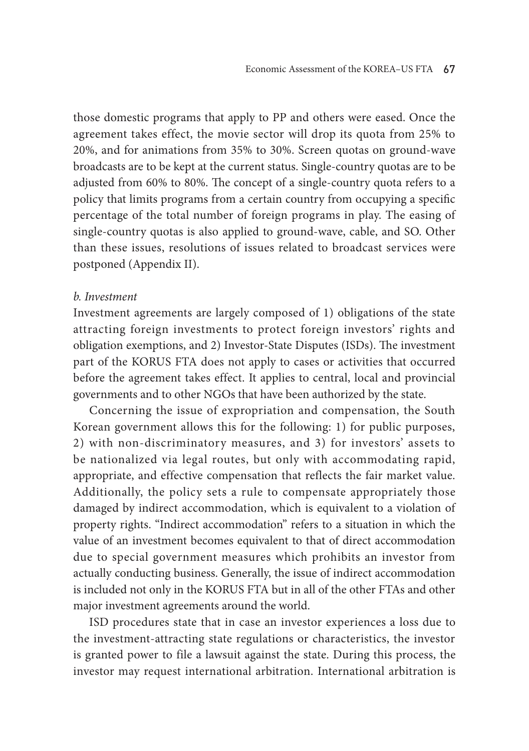those domestic programs that apply to PP and others were eased. Once the agreement takes effect, the movie sector will drop its quota from 25% to 20%, and for animations from 35% to 30%. Screen quotas on ground-wave broadcasts are to be kept at the current status. Single-country quotas are to be adjusted from 60% to 80%. The concept of a single-country quota refers to a policy that limits programs from a certain country from occupying a specific percentage of the total number of foreign programs in play. The easing of single-country quotas is also applied to ground-wave, cable, and SO. Other than these issues, resolutions of issues related to broadcast services were postponed (Appendix II).

#### *b. Investment*

Investment agreements are largely composed of 1) obligations of the state attracting foreign investments to protect foreign investors' rights and obligation exemptions, and 2) Investor-State Disputes (ISDs). The investment part of the KORUS FTA does not apply to cases or activities that occurred before the agreement takes effect. It applies to central, local and provincial governments and to other NGOs that have been authorized by the state.

Concerning the issue of expropriation and compensation, the South Korean government allows this for the following: 1) for public purposes, 2) with non-discriminatory measures, and 3) for investors' assets to be nationalized via legal routes, but only with accommodating rapid, appropriate, and effective compensation that reflects the fair market value. Additionally, the policy sets a rule to compensate appropriately those damaged by indirect accommodation, which is equivalent to a violation of property rights. "Indirect accommodation" refers to a situation in which the value of an investment becomes equivalent to that of direct accommodation due to special government measures which prohibits an investor from actually conducting business. Generally, the issue of indirect accommodation is included not only in the KORUS FTA but in all of the other FTAs and other major investment agreements around the world.

ISD procedures state that in case an investor experiences a loss due to the investment-attracting state regulations or characteristics, the investor is granted power to file a lawsuit against the state. During this process, the investor may request international arbitration. International arbitration is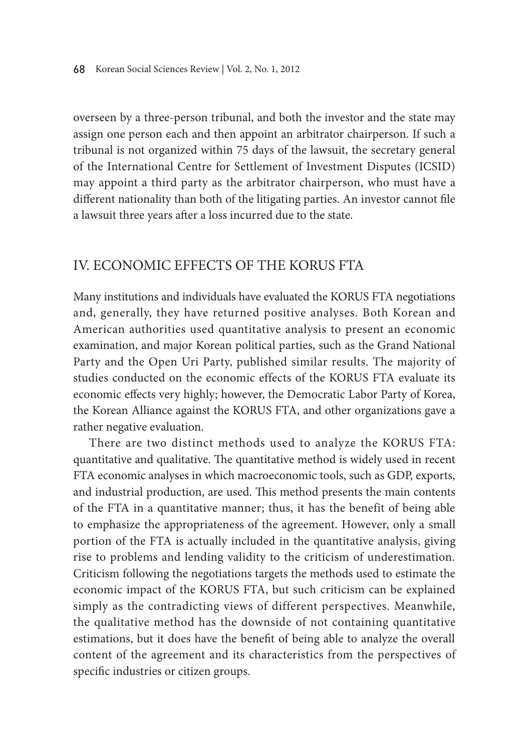overseen by a three-person tribunal, and both the investor and the state may assign one person each and then appoint an arbitrator chairperson. If such a tribunal is not organized within 75 days of the lawsuit, the secretary general of the International Centre for Settlement of Investment Disputes (ICSID) may appoint a third party as the arbitrator chairperson, who must have a different nationality than both of the litigating parties. An investor cannot file a lawsuit three years after a loss incurred due to the state.

# IV. Economic Effects of the KORUS FTA

Many institutions and individuals have evaluated the KORUS FTA negotiations and, generally, they have returned positive analyses. Both Korean and American authorities used quantitative analysis to present an economic examination, and major Korean political parties, such as the Grand National Party and the Open Uri Party, published similar results. The majority of studies conducted on the economic effects of the KORUS FTA evaluate its economic effects very highly; however, the Democratic Labor Party of Korea, the Korean Alliance against the KORUS FTA, and other organizations gave a rather negative evaluation.

There are two distinct methods used to analyze the KORUS FTA: quantitative and qualitative. The quantitative method is widely used in recent FTA economic analyses in which macroeconomic tools, such as GDP, exports, and industrial production, are used. This method presents the main contents of the FTA in a quantitative manner; thus, it has the benefit of being able to emphasize the appropriateness of the agreement. However, only a small portion of the FTA is actually included in the quantitative analysis, giving rise to problems and lending validity to the criticism of underestimation. Criticism following the negotiations targets the methods used to estimate the economic impact of the KORUS FTA, but such criticism can be explained simply as the contradicting views of different perspectives. Meanwhile, the qualitative method has the downside of not containing quantitative estimations, but it does have the benefit of being able to analyze the overall content of the agreement and its characteristics from the perspectives of specific industries or citizen groups.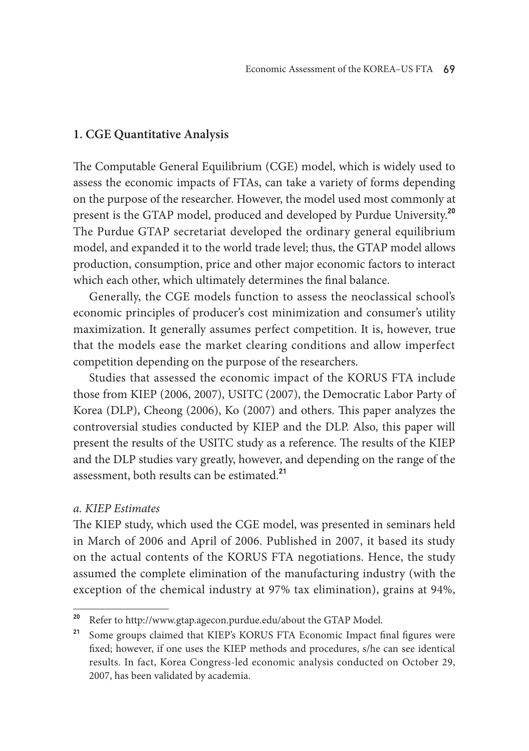# **1. CGE Quantitative Analysis**

The Computable General Equilibrium (CGE) model, which is widely used to assess the economic impacts of FTAs, can take a variety of forms depending on the purpose of the researcher. However, the model used most commonly at present is the GTAP model, produced and developed by Purdue University.**<sup>20</sup>** The Purdue GTAP secretariat developed the ordinary general equilibrium model, and expanded it to the world trade level; thus, the GTAP model allows production, consumption, price and other major economic factors to interact which each other, which ultimately determines the final balance.

Generally, the CGE models function to assess the neoclassical school's economic principles of producer's cost minimization and consumer's utility maximization. It generally assumes perfect competition. It is, however, true that the models ease the market clearing conditions and allow imperfect competition depending on the purpose of the researchers.

Studies that assessed the economic impact of the KORUS FTA include those from KIEP (2006, 2007), USITC (2007), the Democratic Labor Party of Korea (DLP), Cheong (2006), Ko (2007) and others. This paper analyzes the controversial studies conducted by KIEP and the DLP. Also, this paper will present the results of the USITC study as a reference. The results of the KIEP and the DLP studies vary greatly, however, and depending on the range of the assessment, both results can be estimated.**<sup>21</sup>**

### *a. KIEP Estimates*

The KIEP study, which used the CGE model, was presented in seminars held in March of 2006 and April of 2006. Published in 2007, it based its study on the actual contents of the KORUS FTA negotiations. Hence, the study assumed the complete elimination of the manufacturing industry (with the exception of the chemical industry at 97% tax elimination), grains at 94%,

**<sup>20</sup>** Refer to http://www.gtap.agecon.purdue.edu/about the GTAP Model.

<sup>&</sup>lt;sup>21</sup> Some groups claimed that KIEP's KORUS FTA Economic Impact final figures were fixed; however, if one uses the KIEP methods and procedures, s/he can see identical results. In fact, Korea Congress-led economic analysis conducted on October 29, 2007, has been validated by academia.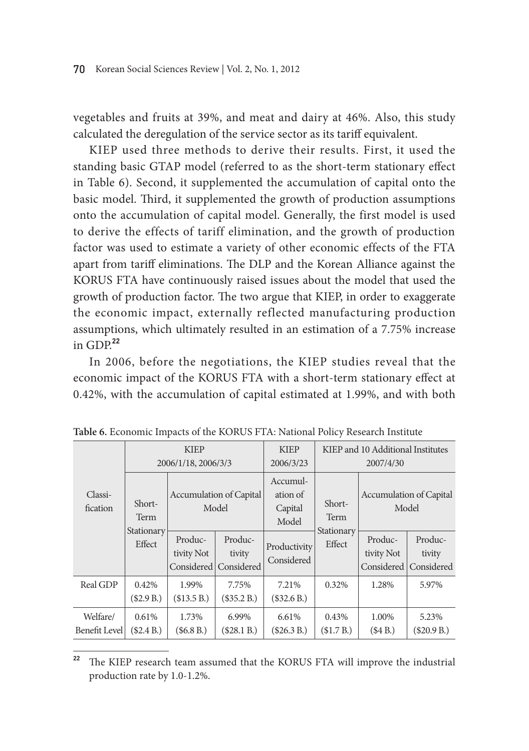vegetables and fruits at 39%, and meat and dairy at 46%. Also, this study calculated the deregulation of the service sector as its tariff equivalent.

KIEP used three methods to derive their results. First, it used the standing basic GTAP model (referred to as the short-term stationary effect in Table 6). Second, it supplemented the accumulation of capital onto the basic model. Third, it supplemented the growth of production assumptions onto the accumulation of capital model. Generally, the first model is used to derive the effects of tariff elimination, and the growth of production factor was used to estimate a variety of other economic effects of the FTA apart from tariff eliminations. The DLP and the Korean Alliance against the KORUS FTA have continuously raised issues about the model that used the growth of production factor. The two argue that KIEP, in order to exaggerate the economic impact, externally reflected manufacturing production assumptions, which ultimately resulted in an estimation of a 7.75% increase in  $GDP<sup>22</sup>$ 

In 2006, before the negotiations, the KIEP studies reveal that the economic impact of the KORUS FTA with a short-term stationary effect at 0.42%, with the accumulation of capital estimated at 1.99%, and with both

|                           | <b>KIEP</b><br>2006/1/18, 2006/3/3 |                                         | <b>KIEP</b><br>2006/3/23        | KIEP and 10 Additional Institutes<br>2007/4/30 |                      |                                     |                                 |
|---------------------------|------------------------------------|-----------------------------------------|---------------------------------|------------------------------------------------|----------------------|-------------------------------------|---------------------------------|
| Classi-<br>fication       | Short-<br>Term                     | <b>Accumulation of Capital</b><br>Model |                                 | Accumul-<br>ation of<br>Capital<br>Model       | Short-<br>Term       | Model                               | <b>Accumulation of Capital</b>  |
|                           | Stationary<br>Effect               | Produc-<br>tivity Not<br>Considered     | Produc-<br>tivity<br>Considered | Productivity<br>Considered                     | Stationary<br>Effect | Produc-<br>tivity Not<br>Considered | Produc-<br>tivity<br>Considered |
| Real GDP                  | 0.42%<br>(\$2.9 B.)                | 1.99%<br>(\$13.5 B.)                    | 7.75%<br>(\$35.2 B.)            | 7.21%<br>(\$32.6B.)                            | 0.32%                | 1.28%                               | 5.97%                           |
| Welfare/<br>Benefit Level | 0.61%<br>(\$2.4 B.)                | 1.73%<br>(\$6.8B.)                      | 6.99%<br>(\$28.1 B.)            | 6.61%<br>(\$26.3 B.)                           | 0.43%<br>(\$1.7 B.)  | 1.00%<br>(\$4B.)                    | 5.23%<br>(\$20.9 B.)            |

**Table 6.** Economic Impacts of the KORUS FTA: National Policy Research Institute

**<sup>22</sup>** The KIEP research team assumed that the KORUS FTA will improve the industrial production rate by 1.0-1.2%.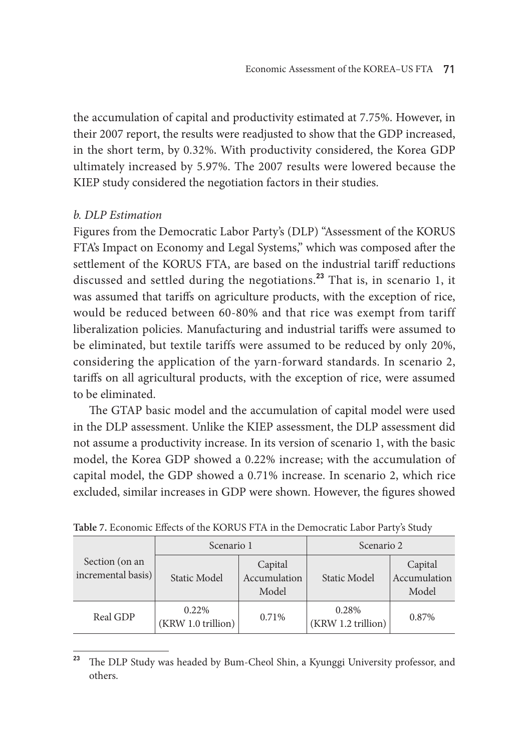the accumulation of capital and productivity estimated at 7.75%. However, in their 2007 report, the results were readjusted to show that the GDP increased, in the short term, by 0.32%. With productivity considered, the Korea GDP ultimately increased by 5.97%. The 2007 results were lowered because the KIEP study considered the negotiation factors in their studies.

# *b. DLP Estimation*

Figures from the Democratic Labor Party's (DLP) "Assessment of the KORUS FTA's Impact on Economy and Legal Systems," which was composed after the settlement of the KORUS FTA, are based on the industrial tariff reductions discussed and settled during the negotiations.**<sup>23</sup>** That is, in scenario 1, it was assumed that tariffs on agriculture products, with the exception of rice, would be reduced between 60-80% and that rice was exempt from tariff liberalization policies. Manufacturing and industrial tariffs were assumed to be eliminated, but textile tariffs were assumed to be reduced by only 20%, considering the application of the yarn-forward standards. In scenario 2, tariffs on all agricultural products, with the exception of rice, were assumed to be eliminated.

The GTAP basic model and the accumulation of capital model were used in the DLP assessment. Unlike the KIEP assessment, the DLP assessment did not assume a productivity increase. In its version of scenario 1, with the basic model, the Korea GDP showed a 0.22% increase; with the accumulation of capital model, the GDP showed a 0.71% increase. In scenario 2, which rice excluded, similar increases in GDP were shown. However, the figures showed

|                                      | Scenario 1                  |                                  | Scenario 2                  |                                  |  |
|--------------------------------------|-----------------------------|----------------------------------|-----------------------------|----------------------------------|--|
| Section (on an<br>incremental basis) | <b>Static Model</b>         | Capital<br>Accumulation<br>Model | Static Model                | Capital<br>Accumulation<br>Model |  |
| Real GDP                             | 0.22%<br>(KRW 1.0 trillion) | 0.71%                            | 0.28%<br>(KRW 1.2 trillion) | 0.87%                            |  |

**Table 7.** Economic Effects of the KORUS FTA in the Democratic Labor Party's Study

**<sup>23</sup>** The DLP Study was headed by Bum-Cheol Shin, a Kyunggi University professor, and others.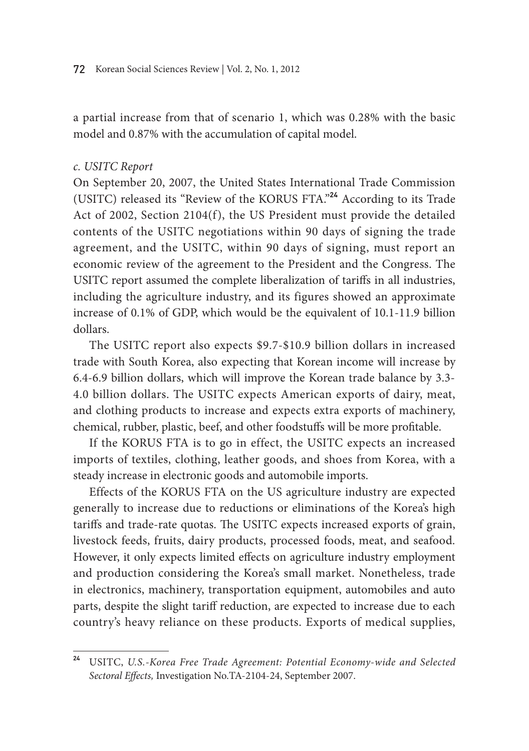a partial increase from that of scenario 1, which was 0.28% with the basic model and 0.87% with the accumulation of capital model.

### *c. USITC Report*

On September 20, 2007, the United States International Trade Commission (USITC) released its "Review of the KORUS FTA."**<sup>24</sup>** According to its Trade Act of 2002, Section 2104(f), the US President must provide the detailed contents of the USITC negotiations within 90 days of signing the trade agreement, and the USITC, within 90 days of signing, must report an economic review of the agreement to the President and the Congress. The USITC report assumed the complete liberalization of tariffs in all industries, including the agriculture industry, and its figures showed an approximate increase of 0.1% of GDP, which would be the equivalent of 10.1-11.9 billion dollars.

The USITC report also expects \$9.7-\$10.9 billion dollars in increased trade with South Korea, also expecting that Korean income will increase by 6.4-6.9 billion dollars, which will improve the Korean trade balance by 3.3- 4.0 billion dollars. The USITC expects American exports of dairy, meat, and clothing products to increase and expects extra exports of machinery, chemical, rubber, plastic, beef, and other foodstuffs will be more profitable.

If the KORUS FTA is to go in effect, the USITC expects an increased imports of textiles, clothing, leather goods, and shoes from Korea, with a steady increase in electronic goods and automobile imports.

Effects of the KORUS FTA on the US agriculture industry are expected generally to increase due to reductions or eliminations of the Korea's high tariffs and trade-rate quotas. The USITC expects increased exports of grain, livestock feeds, fruits, dairy products, processed foods, meat, and seafood. However, it only expects limited effects on agriculture industry employment and production considering the Korea's small market. Nonetheless, trade in electronics, machinery, transportation equipment, automobiles and auto parts, despite the slight tariff reduction, are expected to increase due to each country's heavy reliance on these products. Exports of medical supplies,

**<sup>24</sup>** USITC, *U.S.-Korea Free Trade Agreement: Potential Economy-wide and Selected Sectoral Effects,* Investigation No.TA-2104-24, September 2007.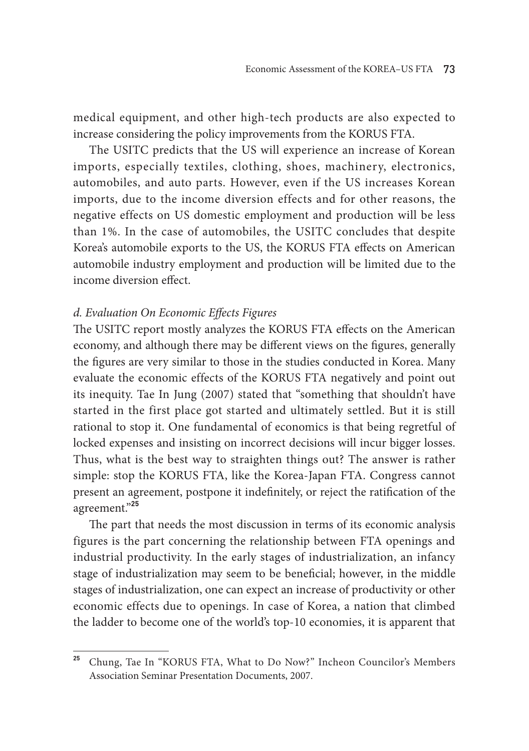medical equipment, and other high-tech products are also expected to increase considering the policy improvements from the KORUS FTA.

The USITC predicts that the US will experience an increase of Korean imports, especially textiles, clothing, shoes, machinery, electronics, automobiles, and auto parts. However, even if the US increases Korean imports, due to the income diversion effects and for other reasons, the negative effects on US domestic employment and production will be less than 1%. In the case of automobiles, the USITC concludes that despite Korea's automobile exports to the US, the KORUS FTA effects on American automobile industry employment and production will be limited due to the income diversion effect.

# *d. Evaluation On Economic Effects Figures*

The USITC report mostly analyzes the KORUS FTA effects on the American economy, and although there may be different views on the figures, generally the figures are very similar to those in the studies conducted in Korea. Many evaluate the economic effects of the KORUS FTA negatively and point out its inequity. Tae In Jung (2007) stated that "something that shouldn't have started in the first place got started and ultimately settled. But it is still rational to stop it. One fundamental of economics is that being regretful of locked expenses and insisting on incorrect decisions will incur bigger losses. Thus, what is the best way to straighten things out? The answer is rather simple: stop the KORUS FTA, like the Korea-Japan FTA. Congress cannot present an agreement, postpone it indefinitely, or reject the ratification of the agreement."**<sup>25</sup>**

The part that needs the most discussion in terms of its economic analysis figures is the part concerning the relationship between FTA openings and industrial productivity. In the early stages of industrialization, an infancy stage of industrialization may seem to be beneficial; however, in the middle stages of industrialization, one can expect an increase of productivity or other economic effects due to openings. In case of Korea, a nation that climbed the ladder to become one of the world's top-10 economies, it is apparent that

**<sup>25</sup>** Chung, Tae In "KORUS FTA, What to Do Now?" Incheon Councilor's Members Association Seminar Presentation Documents, 2007.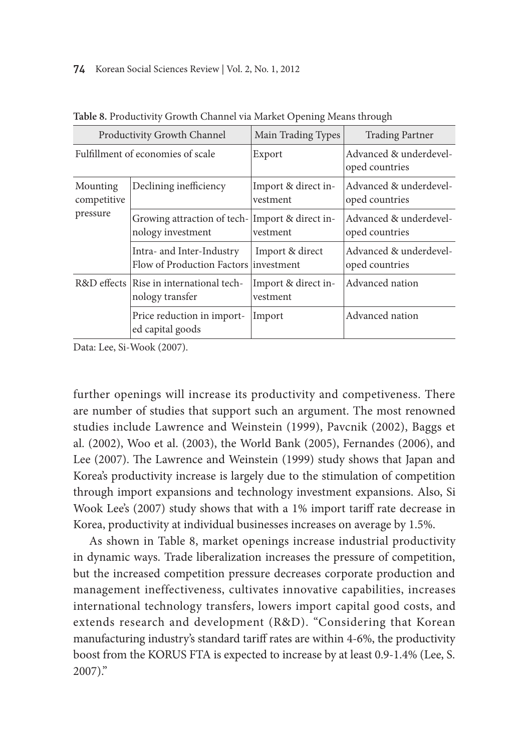#### 74 Korean Social Sciences Review | Vol. 2, No. 1, 2012

| Productivity Growth Channel |                                                                    | Main Trading Types              | <b>Trading Partner</b>                   |
|-----------------------------|--------------------------------------------------------------------|---------------------------------|------------------------------------------|
|                             | Fulfillment of economies of scale                                  | Export                          | Advanced & underdevel-<br>oped countries |
| Mounting<br>competitive     | Declining inefficiency                                             | Import & direct in-<br>vestment | Advanced & underdevel-<br>oped countries |
| pressure                    | Growing attraction of tech-<br>nology investment                   | Import & direct in-<br>vestment | Advanced & underdevel-<br>oped countries |
|                             | Intra- and Inter-Industry<br>Flow of Production Factors investment | Import & direct                 | Advanced & underdevel-<br>oped countries |
|                             | R&D effects Rise in international tech-<br>nology transfer         | Import & direct in-<br>vestment | Advanced nation                          |
|                             | Price reduction in import-<br>ed capital goods                     | Import                          | Advanced nation                          |

**Table 8.** Productivity Growth Channel via Market Opening Means through

Data: Lee, Si-Wook (2007).

further openings will increase its productivity and competiveness. There are number of studies that support such an argument. The most renowned studies include Lawrence and Weinstein (1999), Pavcnik (2002), Baggs et al. (2002), Woo et al. (2003), the World Bank (2005), Fernandes (2006), and Lee (2007). The Lawrence and Weinstein (1999) study shows that Japan and Korea's productivity increase is largely due to the stimulation of competition through import expansions and technology investment expansions. Also, Si Wook Lee's (2007) study shows that with a 1% import tariff rate decrease in Korea, productivity at individual businesses increases on average by 1.5%.

As shown in Table 8, market openings increase industrial productivity in dynamic ways. Trade liberalization increases the pressure of competition, but the increased competition pressure decreases corporate production and management ineffectiveness, cultivates innovative capabilities, increases international technology transfers, lowers import capital good costs, and extends research and development (R&D). "Considering that Korean manufacturing industry's standard tariff rates are within 4-6%, the productivity boost from the KORUS FTA is expected to increase by at least 0.9-1.4% (Lee, S. 2007)."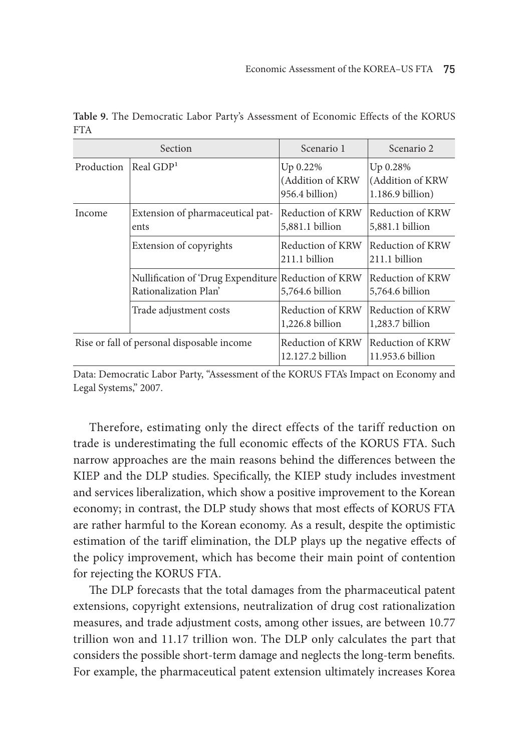| Section    |                                                                              | Scenario 1                                     | Scenario 2                                       |
|------------|------------------------------------------------------------------------------|------------------------------------------------|--------------------------------------------------|
| Production | Real $GDP1$                                                                  | Up 0.22%<br>(Addition of KRW<br>956.4 billion) | Up 0.28%<br>(Addition of KRW<br>1.186.9 billion) |
| Income     | Extension of pharmaceutical pat-<br>ents                                     | Reduction of KRW<br>5,881.1 billion            | Reduction of KRW<br>5,881.1 billion              |
|            | Extension of copyrights                                                      | Reduction of KRW<br>211.1 billion              | Reduction of KRW<br>211.1 billion                |
|            | Nullification of 'Drug Expenditure Reduction of KRW<br>Rationalization Plan' | 5,764.6 billion                                | Reduction of KRW<br>5,764.6 billion              |
|            | Trade adjustment costs                                                       | Reduction of KRW<br>1,226.8 billion            | Reduction of KRW<br>1,283.7 billion              |
|            | Rise or fall of personal disposable income                                   | Reduction of KRW<br>12.127.2 billion           | Reduction of KRW<br>11.953.6 billion             |

**Table 9.** The Democratic Labor Party's Assessment of Economic Effects of the KORUS FTA

Data: Democratic Labor Party, "Assessment of the KORUS FTA's Impact on Economy and Legal Systems," 2007.

Therefore, estimating only the direct effects of the tariff reduction on trade is underestimating the full economic effects of the KORUS FTA. Such narrow approaches are the main reasons behind the differences between the KIEP and the DLP studies. Specifically, the KIEP study includes investment and services liberalization, which show a positive improvement to the Korean economy; in contrast, the DLP study shows that most effects of KORUS FTA are rather harmful to the Korean economy. As a result, despite the optimistic estimation of the tariff elimination, the DLP plays up the negative effects of the policy improvement, which has become their main point of contention for rejecting the KORUS FTA.

The DLP forecasts that the total damages from the pharmaceutical patent extensions, copyright extensions, neutralization of drug cost rationalization measures, and trade adjustment costs, among other issues, are between 10.77 trillion won and 11.17 trillion won. The DLP only calculates the part that considers the possible short-term damage and neglects the long-term benefits. For example, the pharmaceutical patent extension ultimately increases Korea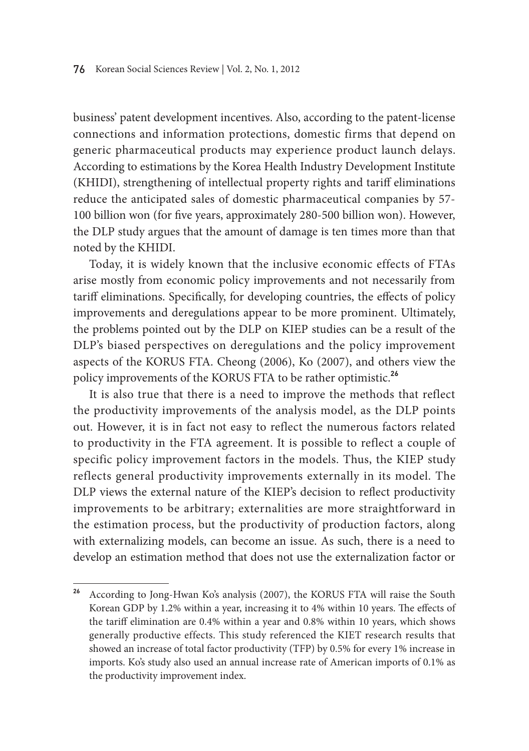business' patent development incentives. Also, according to the patent-license connections and information protections, domestic firms that depend on generic pharmaceutical products may experience product launch delays. According to estimations by the Korea Health Industry Development Institute (KHIDI), strengthening of intellectual property rights and tariff eliminations reduce the anticipated sales of domestic pharmaceutical companies by 57- 100 billion won (for five years, approximately 280-500 billion won). However, the DLP study argues that the amount of damage is ten times more than that noted by the KHIDI.

Today, it is widely known that the inclusive economic effects of FTAs arise mostly from economic policy improvements and not necessarily from tariff eliminations. Specifically, for developing countries, the effects of policy improvements and deregulations appear to be more prominent. Ultimately, the problems pointed out by the DLP on KIEP studies can be a result of the DLP's biased perspectives on deregulations and the policy improvement aspects of the KORUS FTA. Cheong (2006), Ko (2007), and others view the policy improvements of the KORUS FTA to be rather optimistic.**<sup>26</sup>**

It is also true that there is a need to improve the methods that reflect the productivity improvements of the analysis model, as the DLP points out. However, it is in fact not easy to reflect the numerous factors related to productivity in the FTA agreement. It is possible to reflect a couple of specific policy improvement factors in the models. Thus, the KIEP study reflects general productivity improvements externally in its model. The DLP views the external nature of the KIEP's decision to reflect productivity improvements to be arbitrary; externalities are more straightforward in the estimation process, but the productivity of production factors, along with externalizing models, can become an issue. As such, there is a need to develop an estimation method that does not use the externalization factor or

**<sup>26</sup>** According to Jong-Hwan Ko's analysis (2007), the KORUS FTA will raise the South Korean GDP by 1.2% within a year, increasing it to 4% within 10 years. The effects of the tariff elimination are 0.4% within a year and 0.8% within 10 years, which shows generally productive effects. This study referenced the KIET research results that showed an increase of total factor productivity (TFP) by 0.5% for every 1% increase in imports. Ko's study also used an annual increase rate of American imports of 0.1% as the productivity improvement index.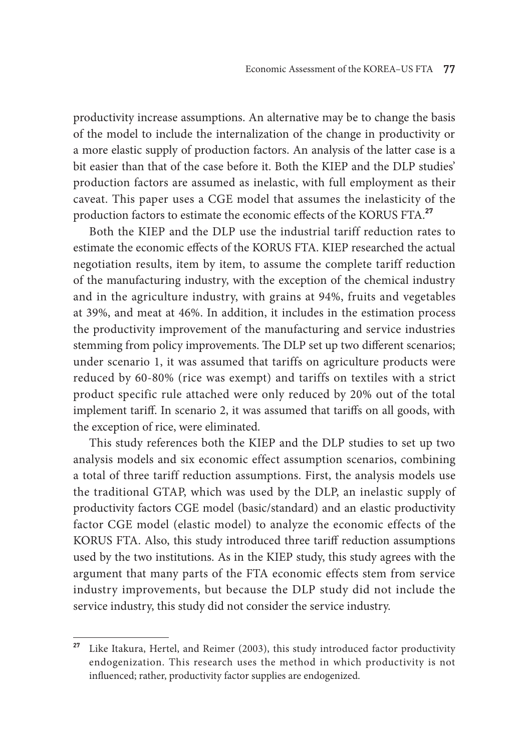productivity increase assumptions. An alternative may be to change the basis of the model to include the internalization of the change in productivity or a more elastic supply of production factors. An analysis of the latter case is a bit easier than that of the case before it. Both the KIEP and the DLP studies' production factors are assumed as inelastic, with full employment as their caveat. This paper uses a CGE model that assumes the inelasticity of the production factors to estimate the economic effects of the KORUS FTA.**<sup>27</sup>**

Both the KIEP and the DLP use the industrial tariff reduction rates to estimate the economic effects of the KORUS FTA. KIEP researched the actual negotiation results, item by item, to assume the complete tariff reduction of the manufacturing industry, with the exception of the chemical industry and in the agriculture industry, with grains at 94%, fruits and vegetables at 39%, and meat at 46%. In addition, it includes in the estimation process the productivity improvement of the manufacturing and service industries stemming from policy improvements. The DLP set up two different scenarios; under scenario 1, it was assumed that tariffs on agriculture products were reduced by 60-80% (rice was exempt) and tariffs on textiles with a strict product specific rule attached were only reduced by 20% out of the total implement tariff. In scenario 2, it was assumed that tariffs on all goods, with the exception of rice, were eliminated.

This study references both the KIEP and the DLP studies to set up two analysis models and six economic effect assumption scenarios, combining a total of three tariff reduction assumptions. First, the analysis models use the traditional GTAP, which was used by the DLP, an inelastic supply of productivity factors CGE model (basic/standard) and an elastic productivity factor CGE model (elastic model) to analyze the economic effects of the KORUS FTA. Also, this study introduced three tariff reduction assumptions used by the two institutions. As in the KIEP study, this study agrees with the argument that many parts of the FTA economic effects stem from service industry improvements, but because the DLP study did not include the service industry, this study did not consider the service industry.

**<sup>27</sup>** Like Itakura, Hertel, and Reimer (2003), this study introduced factor productivity endogenization. This research uses the method in which productivity is not influenced; rather, productivity factor supplies are endogenized.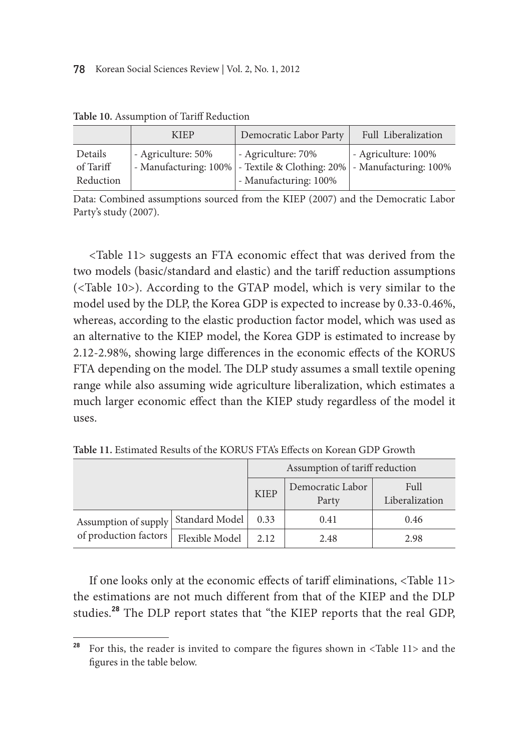|                                   | <b>KIEP</b>        | Democratic Labor Party                                                                                               | Full Liberalization |
|-----------------------------------|--------------------|----------------------------------------------------------------------------------------------------------------------|---------------------|
| Details<br>of Tariff<br>Reduction | - Agriculture: 50% | - Agriculture: 70%<br>- Manufacturing: 100% - Textile & Clothing: 20% - Manufacturing: 100%<br>- Manufacturing: 100% | - Agriculture: 100% |

**Table 10.** Assumption of Tariff Reduction

Data: Combined assumptions sourced from the KIEP (2007) and the Democratic Labor Party's study (2007).

<Table 11> suggests an FTA economic effect that was derived from the two models (basic/standard and elastic) and the tariff reduction assumptions (<Table 10>). According to the GTAP model, which is very similar to the model used by the DLP, the Korea GDP is expected to increase by 0.33-0.46%, whereas, according to the elastic production factor model, which was used as an alternative to the KIEP model, the Korea GDP is estimated to increase by 2.12-2.98%, showing large differences in the economic effects of the KORUS FTA depending on the model. The DLP study assumes a small textile opening range while also assuming wide agriculture liberalization, which estimates a much larger economic effect than the KIEP study regardless of the model it uses.

|                                               |                | Assumption of tariff reduction |                           |                        |
|-----------------------------------------------|----------------|--------------------------------|---------------------------|------------------------|
|                                               |                | <b>KIEP</b>                    | Democratic Labor<br>Party | Full<br>Liberalization |
| Assumption of supply<br>of production factors | Standard Model | 0.33                           | 0.41                      | 0.46                   |
|                                               | Flexible Model | 2.12                           | 2.48                      | 2.98                   |

**Table 11.** Estimated Results of the KORUS FTA's Effects on Korean GDP Growth

If one looks only at the economic effects of tariff eliminations, <Table 11> the estimations are not much different from that of the KIEP and the DLP studies.**<sup>28</sup>** The DLP report states that "the KIEP reports that the real GDP,

**<sup>28</sup>** For this, the reader is invited to compare the figures shown in <Table 11> and the figures in the table below.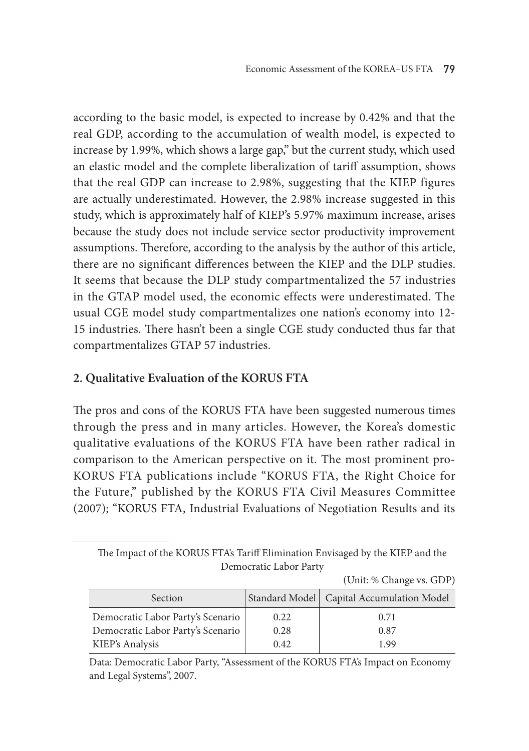according to the basic model, is expected to increase by 0.42% and that the real GDP, according to the accumulation of wealth model, is expected to increase by 1.99%, which shows a large gap," but the current study, which used an elastic model and the complete liberalization of tariff assumption, shows that the real GDP can increase to 2.98%, suggesting that the KIEP figures are actually underestimated. However, the 2.98% increase suggested in this study, which is approximately half of KIEP's 5.97% maximum increase, arises because the study does not include service sector productivity improvement assumptions. Therefore, according to the analysis by the author of this article, there are no significant differences between the KIEP and the DLP studies. It seems that because the DLP study compartmentalized the 57 industries in the GTAP model used, the economic effects were underestimated. The usual CGE model study compartmentalizes one nation's economy into 12- 15 industries. There hasn't been a single CGE study conducted thus far that compartmentalizes GTAP 57 industries.

# **2. Qualitative Evaluation of the KORUS FTA**

The pros and cons of the KORUS FTA have been suggested numerous times through the press and in many articles. However, the Korea's domestic qualitative evaluations of the KORUS FTA have been rather radical in comparison to the American perspective on it. The most prominent pro-KORUS FTA publications include "KORUS FTA, the Right Choice for the Future," published by the KORUS FTA Civil Measures Committee (2007); "KORUS FTA, Industrial Evaluations of Negotiation Results and its

The Impact of the KORUS FTA's Tariff Elimination Envisaged by the KIEP and the Democratic Labor Party

| Section                           |      | Standard Model   Capital Accumulation Model |
|-----------------------------------|------|---------------------------------------------|
| Democratic Labor Party's Scenario | 0.22 | 0.71                                        |
| Democratic Labor Party's Scenario | 0.28 | 0.87                                        |
| KIEP's Analysis                   | 0.42 | 1.99                                        |
|                                   |      |                                             |

Data: Democratic Labor Party, "Assessment of the KORUS FTA's Impact on Economy and Legal Systems", 2007.

(Unit: % Change vs. GDP)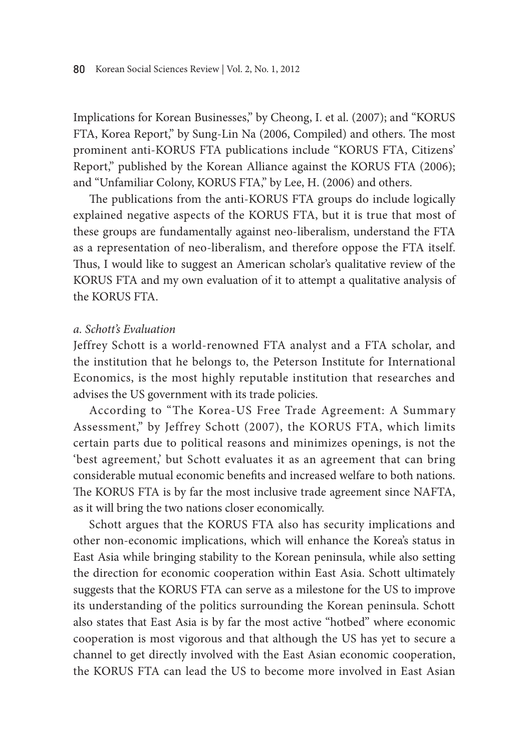Implications for Korean Businesses," by Cheong, I. et al. (2007); and "KORUS FTA, Korea Report," by Sung-Lin Na (2006, Compiled) and others. The most prominent anti-KORUS FTA publications include "KORUS FTA, Citizens' Report," published by the Korean Alliance against the KORUS FTA (2006); and "Unfamiliar Colony, KORUS FTA," by Lee, H. (2006) and others.

The publications from the anti-KORUS FTA groups do include logically explained negative aspects of the KORUS FTA, but it is true that most of these groups are fundamentally against neo-liberalism, understand the FTA as a representation of neo-liberalism, and therefore oppose the FTA itself. Thus, I would like to suggest an American scholar's qualitative review of the KORUS FTA and my own evaluation of it to attempt a qualitative analysis of the KORUS FTA.

#### *a. Schott's Evaluation*

Jeffrey Schott is a world-renowned FTA analyst and a FTA scholar, and the institution that he belongs to, the Peterson Institute for International Economics, is the most highly reputable institution that researches and advises the US government with its trade policies.

According to "The Korea-US Free Trade Agreement: A Summary Assessment," by Jeffrey Schott (2007), the KORUS FTA, which limits certain parts due to political reasons and minimizes openings, is not the 'best agreement,' but Schott evaluates it as an agreement that can bring considerable mutual economic benefits and increased welfare to both nations. The KORUS FTA is by far the most inclusive trade agreement since NAFTA, as it will bring the two nations closer economically.

Schott argues that the KORUS FTA also has security implications and other non-economic implications, which will enhance the Korea's status in East Asia while bringing stability to the Korean peninsula, while also setting the direction for economic cooperation within East Asia. Schott ultimately suggests that the KORUS FTA can serve as a milestone for the US to improve its understanding of the politics surrounding the Korean peninsula. Schott also states that East Asia is by far the most active "hotbed" where economic cooperation is most vigorous and that although the US has yet to secure a channel to get directly involved with the East Asian economic cooperation, the KORUS FTA can lead the US to become more involved in East Asian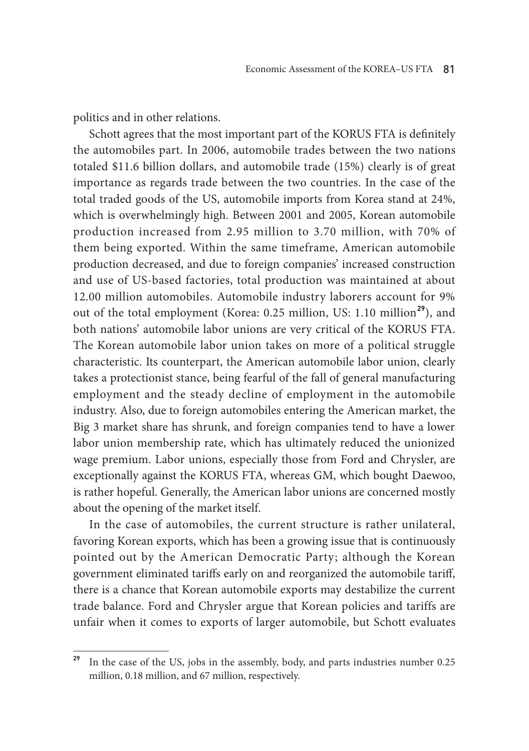politics and in other relations.

Schott agrees that the most important part of the KORUS FTA is definitely the automobiles part. In 2006, automobile trades between the two nations totaled \$11.6 billion dollars, and automobile trade (15%) clearly is of great importance as regards trade between the two countries. In the case of the total traded goods of the US, automobile imports from Korea stand at 24%, which is overwhelmingly high. Between 2001 and 2005, Korean automobile production increased from 2.95 million to 3.70 million, with 70% of them being exported. Within the same timeframe, American automobile production decreased, and due to foreign companies' increased construction and use of US-based factories, total production was maintained at about 12.00 million automobiles. Automobile industry laborers account for 9% out of the total employment (Korea: 0.25 million, US: 1.10 million**<sup>29</sup>**), and both nations' automobile labor unions are very critical of the KORUS FTA. The Korean automobile labor union takes on more of a political struggle characteristic. Its counterpart, the American automobile labor union, clearly takes a protectionist stance, being fearful of the fall of general manufacturing employment and the steady decline of employment in the automobile industry. Also, due to foreign automobiles entering the American market, the Big 3 market share has shrunk, and foreign companies tend to have a lower labor union membership rate, which has ultimately reduced the unionized wage premium. Labor unions, especially those from Ford and Chrysler, are exceptionally against the KORUS FTA, whereas GM, which bought Daewoo, is rather hopeful. Generally, the American labor unions are concerned mostly about the opening of the market itself.

In the case of automobiles, the current structure is rather unilateral, favoring Korean exports, which has been a growing issue that is continuously pointed out by the American Democratic Party; although the Korean government eliminated tariffs early on and reorganized the automobile tariff, there is a chance that Korean automobile exports may destabilize the current trade balance. Ford and Chrysler argue that Korean policies and tariffs are unfair when it comes to exports of larger automobile, but Schott evaluates

**<sup>29</sup>** In the case of the US, jobs in the assembly, body, and parts industries number 0.25 million, 0.18 million, and 67 million, respectively.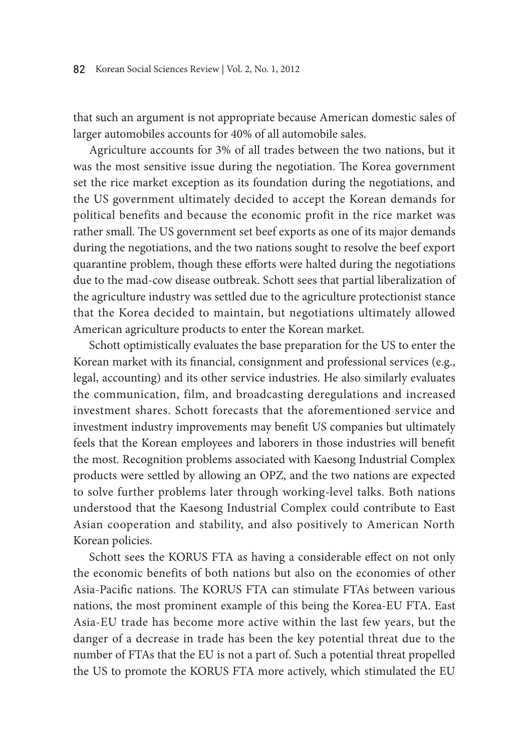that such an argument is not appropriate because American domestic sales of larger automobiles accounts for 40% of all automobile sales.

Agriculture accounts for 3% of all trades between the two nations, but it was the most sensitive issue during the negotiation. The Korea government set the rice market exception as its foundation during the negotiations, and the US government ultimately decided to accept the Korean demands for political benefits and because the economic profit in the rice market was rather small. The US government set beef exports as one of its major demands during the negotiations, and the two nations sought to resolve the beef export quarantine problem, though these efforts were halted during the negotiations due to the mad-cow disease outbreak. Schott sees that partial liberalization of the agriculture industry was settled due to the agriculture protectionist stance that the Korea decided to maintain, but negotiations ultimately allowed American agriculture products to enter the Korean market.

Schott optimistically evaluates the base preparation for the US to enter the Korean market with its financial, consignment and professional services (e.g., legal, accounting) and its other service industries. He also similarly evaluates the communication, film, and broadcasting deregulations and increased investment shares. Schott forecasts that the aforementioned service and investment industry improvements may benefit US companies but ultimately feels that the Korean employees and laborers in those industries will benefit the most. Recognition problems associated with Kaesong Industrial Complex products were settled by allowing an OPZ, and the two nations are expected to solve further problems later through working-level talks. Both nations understood that the Kaesong Industrial Complex could contribute to East Asian cooperation and stability, and also positively to American North Korean policies.

Schott sees the KORUS FTA as having a considerable effect on not only the economic benefits of both nations but also on the economies of other Asia-Pacific nations. The KORUS FTA can stimulate FTAs between various nations, the most prominent example of this being the Korea-EU FTA. East Asia-EU trade has become more active within the last few years, but the danger of a decrease in trade has been the key potential threat due to the number of FTAs that the EU is not a part of. Such a potential threat propelled the US to promote the KORUS FTA more actively, which stimulated the EU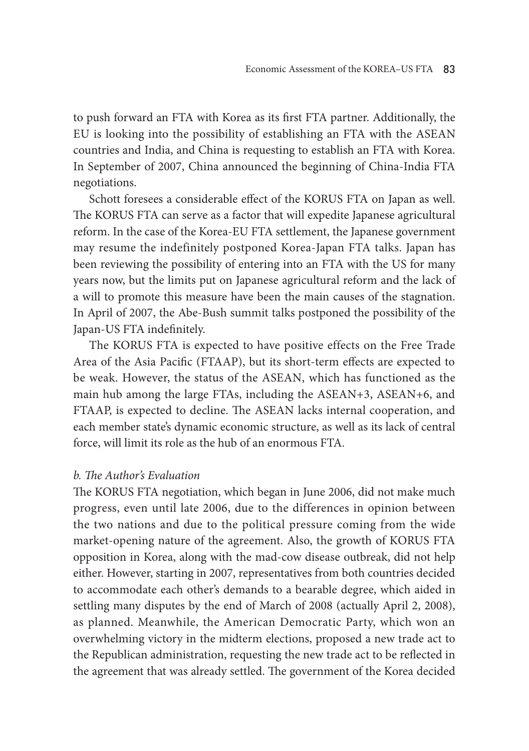to push forward an FTA with Korea as its first FTA partner. Additionally, the EU is looking into the possibility of establishing an FTA with the ASEAN countries and India, and China is requesting to establish an FTA with Korea. In September of 2007, China announced the beginning of China-India FTA negotiations.

Schott foresees a considerable effect of the KORUS FTA on Japan as well. The KORUS FTA can serve as a factor that will expedite Japanese agricultural reform. In the case of the Korea-EU FTA settlement, the Japanese government may resume the indefinitely postponed Korea-Japan FTA talks. Japan has been reviewing the possibility of entering into an FTA with the US for many years now, but the limits put on Japanese agricultural reform and the lack of a will to promote this measure have been the main causes of the stagnation. In April of 2007, the Abe-Bush summit talks postponed the possibility of the Japan-US FTA indefinitely.

The KORUS FTA is expected to have positive effects on the Free Trade Area of the Asia Pacific (FTAAP), but its short-term effects are expected to be weak. However, the status of the ASEAN, which has functioned as the main hub among the large FTAs, including the ASEAN+3, ASEAN+6, and FTAAP, is expected to decline. The ASEAN lacks internal cooperation, and each member state's dynamic economic structure, as well as its lack of central force, will limit its role as the hub of an enormous FTA.

# *b. The Author's Evaluation*

The KORUS FTA negotiation, which began in June 2006, did not make much progress, even until late 2006, due to the differences in opinion between the two nations and due to the political pressure coming from the wide market-opening nature of the agreement. Also, the growth of KORUS FTA opposition in Korea, along with the mad-cow disease outbreak, did not help either. However, starting in 2007, representatives from both countries decided to accommodate each other's demands to a bearable degree, which aided in settling many disputes by the end of March of 2008 (actually April 2, 2008), as planned. Meanwhile, the American Democratic Party, which won an overwhelming victory in the midterm elections, proposed a new trade act to the Republican administration, requesting the new trade act to be reflected in the agreement that was already settled. The government of the Korea decided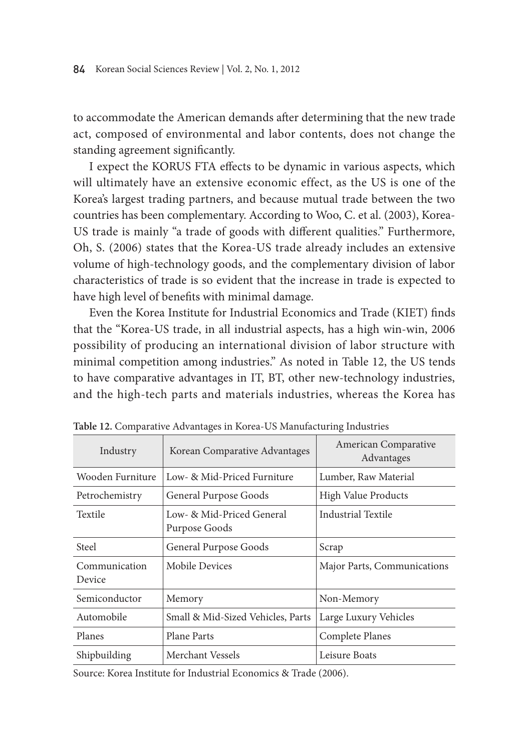to accommodate the American demands after determining that the new trade act, composed of environmental and labor contents, does not change the standing agreement significantly.

I expect the KORUS FTA effects to be dynamic in various aspects, which will ultimately have an extensive economic effect, as the US is one of the Korea's largest trading partners, and because mutual trade between the two countries has been complementary. According to Woo, C. et al. (2003), Korea-US trade is mainly "a trade of goods with different qualities." Furthermore, Oh, S. (2006) states that the Korea-US trade already includes an extensive volume of high-technology goods, and the complementary division of labor characteristics of trade is so evident that the increase in trade is expected to have high level of benefits with minimal damage.

Even the Korea Institute for Industrial Economics and Trade (KIET) finds that the "Korea-US trade, in all industrial aspects, has a high win-win, 2006 possibility of producing an international division of labor structure with minimal competition among industries." As noted in Table 12, the US tends to have comparative advantages in IT, BT, other new-technology industries, and the high-tech parts and materials industries, whereas the Korea has

| Industry                | Korean Comparative Advantages              | American Comparative<br>Advantages |
|-------------------------|--------------------------------------------|------------------------------------|
| Wooden Furniture        | Low- & Mid-Priced Furniture                | Lumber, Raw Material               |
| Petrochemistry          | General Purpose Goods                      | High Value Products                |
| Textile                 | Low- & Mid-Priced General<br>Purpose Goods | Industrial Textile                 |
| Steel                   | General Purpose Goods                      | Scrap                              |
| Communication<br>Device | Mobile Devices                             | Major Parts, Communications        |
| Semiconductor           | Memory                                     | Non-Memory                         |
| Automobile              | Small & Mid-Sized Vehicles, Parts          | Large Luxury Vehicles              |
| Planes                  | Plane Parts                                | Complete Planes                    |
| Shipbuilding            | Merchant Vessels                           | Leisure Boats                      |

**Table 12.** Comparative Advantages in Korea-US Manufacturing Industries

Source: Korea Institute for Industrial Economics & Trade (2006).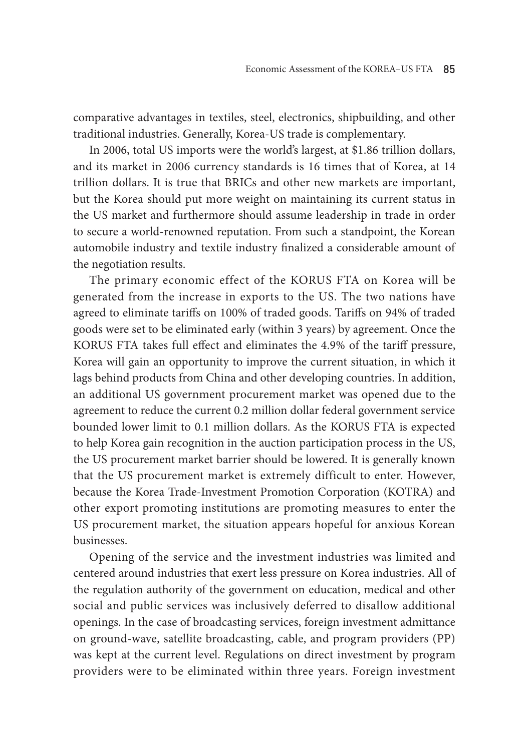comparative advantages in textiles, steel, electronics, shipbuilding, and other traditional industries. Generally, Korea-US trade is complementary.

In 2006, total US imports were the world's largest, at \$1.86 trillion dollars, and its market in 2006 currency standards is 16 times that of Korea, at 14 trillion dollars. It is true that BRICs and other new markets are important, but the Korea should put more weight on maintaining its current status in the US market and furthermore should assume leadership in trade in order to secure a world-renowned reputation. From such a standpoint, the Korean automobile industry and textile industry finalized a considerable amount of the negotiation results.

The primary economic effect of the KORUS FTA on Korea will be generated from the increase in exports to the US. The two nations have agreed to eliminate tariffs on 100% of traded goods. Tariffs on 94% of traded goods were set to be eliminated early (within 3 years) by agreement. Once the KORUS FTA takes full effect and eliminates the 4.9% of the tariff pressure, Korea will gain an opportunity to improve the current situation, in which it lags behind products from China and other developing countries. In addition, an additional US government procurement market was opened due to the agreement to reduce the current 0.2 million dollar federal government service bounded lower limit to 0.1 million dollars. As the KORUS FTA is expected to help Korea gain recognition in the auction participation process in the US, the US procurement market barrier should be lowered. It is generally known that the US procurement market is extremely difficult to enter. However, because the Korea Trade-Investment Promotion Corporation (KOTRA) and other export promoting institutions are promoting measures to enter the US procurement market, the situation appears hopeful for anxious Korean businesses.

Opening of the service and the investment industries was limited and centered around industries that exert less pressure on Korea industries. All of the regulation authority of the government on education, medical and other social and public services was inclusively deferred to disallow additional openings. In the case of broadcasting services, foreign investment admittance on ground-wave, satellite broadcasting, cable, and program providers (PP) was kept at the current level. Regulations on direct investment by program providers were to be eliminated within three years. Foreign investment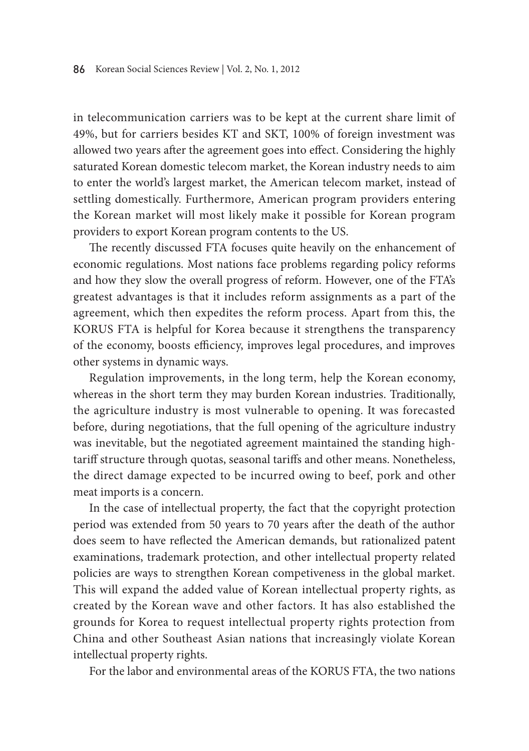in telecommunication carriers was to be kept at the current share limit of 49%, but for carriers besides KT and SKT, 100% of foreign investment was allowed two years after the agreement goes into effect. Considering the highly saturated Korean domestic telecom market, the Korean industry needs to aim to enter the world's largest market, the American telecom market, instead of settling domestically. Furthermore, American program providers entering the Korean market will most likely make it possible for Korean program providers to export Korean program contents to the US.

The recently discussed FTA focuses quite heavily on the enhancement of economic regulations. Most nations face problems regarding policy reforms and how they slow the overall progress of reform. However, one of the FTA's greatest advantages is that it includes reform assignments as a part of the agreement, which then expedites the reform process. Apart from this, the KORUS FTA is helpful for Korea because it strengthens the transparency of the economy, boosts efficiency, improves legal procedures, and improves other systems in dynamic ways.

Regulation improvements, in the long term, help the Korean economy, whereas in the short term they may burden Korean industries. Traditionally, the agriculture industry is most vulnerable to opening. It was forecasted before, during negotiations, that the full opening of the agriculture industry was inevitable, but the negotiated agreement maintained the standing hightariff structure through quotas, seasonal tariffs and other means. Nonetheless, the direct damage expected to be incurred owing to beef, pork and other meat imports is a concern.

In the case of intellectual property, the fact that the copyright protection period was extended from 50 years to 70 years after the death of the author does seem to have reflected the American demands, but rationalized patent examinations, trademark protection, and other intellectual property related policies are ways to strengthen Korean competiveness in the global market. This will expand the added value of Korean intellectual property rights, as created by the Korean wave and other factors. It has also established the grounds for Korea to request intellectual property rights protection from China and other Southeast Asian nations that increasingly violate Korean intellectual property rights.

For the labor and environmental areas of the KORUS FTA, the two nations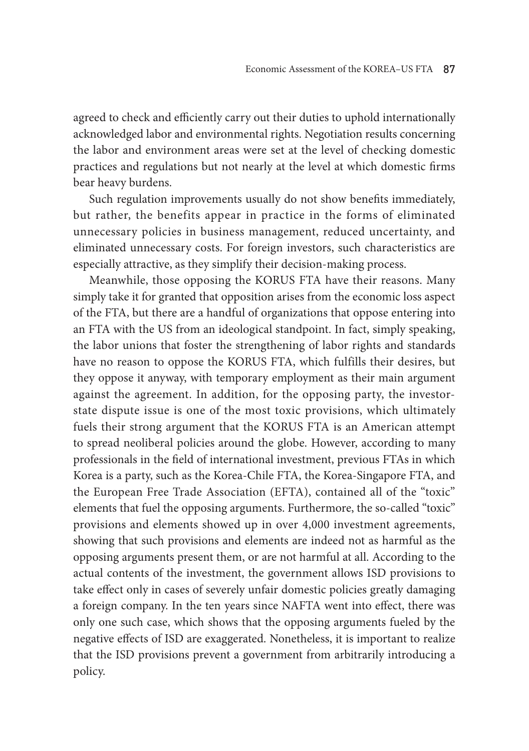agreed to check and efficiently carry out their duties to uphold internationally acknowledged labor and environmental rights. Negotiation results concerning the labor and environment areas were set at the level of checking domestic practices and regulations but not nearly at the level at which domestic firms bear heavy burdens.

Such regulation improvements usually do not show benefits immediately, but rather, the benefits appear in practice in the forms of eliminated unnecessary policies in business management, reduced uncertainty, and eliminated unnecessary costs. For foreign investors, such characteristics are especially attractive, as they simplify their decision-making process.

Meanwhile, those opposing the KORUS FTA have their reasons. Many simply take it for granted that opposition arises from the economic loss aspect of the FTA, but there are a handful of organizations that oppose entering into an FTA with the US from an ideological standpoint. In fact, simply speaking, the labor unions that foster the strengthening of labor rights and standards have no reason to oppose the KORUS FTA, which fulfills their desires, but they oppose it anyway, with temporary employment as their main argument against the agreement. In addition, for the opposing party, the investorstate dispute issue is one of the most toxic provisions, which ultimately fuels their strong argument that the KORUS FTA is an American attempt to spread neoliberal policies around the globe. However, according to many professionals in the field of international investment, previous FTAs in which Korea is a party, such as the Korea-Chile FTA, the Korea-Singapore FTA, and the European Free Trade Association (EFTA), contained all of the "toxic" elements that fuel the opposing arguments. Furthermore, the so-called "toxic" provisions and elements showed up in over 4,000 investment agreements, showing that such provisions and elements are indeed not as harmful as the opposing arguments present them, or are not harmful at all. According to the actual contents of the investment, the government allows ISD provisions to take effect only in cases of severely unfair domestic policies greatly damaging a foreign company. In the ten years since NAFTA went into effect, there was only one such case, which shows that the opposing arguments fueled by the negative effects of ISD are exaggerated. Nonetheless, it is important to realize that the ISD provisions prevent a government from arbitrarily introducing a policy.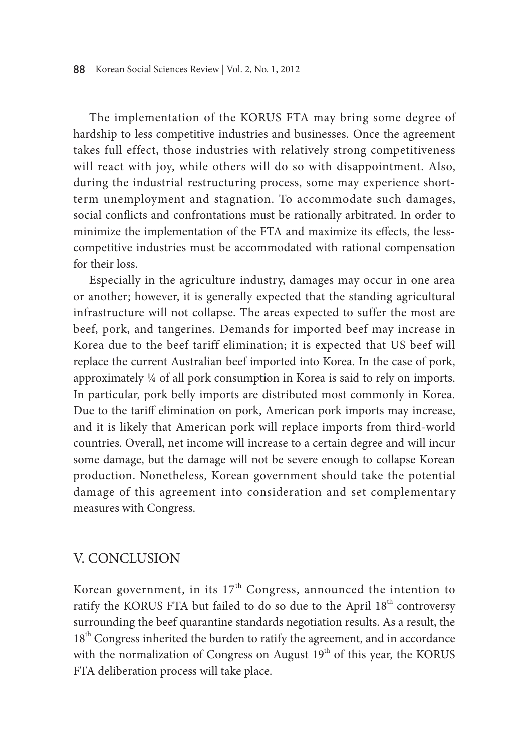The implementation of the KORUS FTA may bring some degree of hardship to less competitive industries and businesses. Once the agreement takes full effect, those industries with relatively strong competitiveness will react with joy, while others will do so with disappointment. Also, during the industrial restructuring process, some may experience shortterm unemployment and stagnation. To accommodate such damages, social conflicts and confrontations must be rationally arbitrated. In order to minimize the implementation of the FTA and maximize its effects, the lesscompetitive industries must be accommodated with rational compensation for their loss.

Especially in the agriculture industry, damages may occur in one area or another; however, it is generally expected that the standing agricultural infrastructure will not collapse. The areas expected to suffer the most are beef, pork, and tangerines. Demands for imported beef may increase in Korea due to the beef tariff elimination; it is expected that US beef will replace the current Australian beef imported into Korea. In the case of pork, approximately ¼ of all pork consumption in Korea is said to rely on imports. In particular, pork belly imports are distributed most commonly in Korea. Due to the tariff elimination on pork, American pork imports may increase, and it is likely that American pork will replace imports from third-world countries. Overall, net income will increase to a certain degree and will incur some damage, but the damage will not be severe enough to collapse Korean production. Nonetheless, Korean government should take the potential damage of this agreement into consideration and set complementary measures with Congress.

# V. Conclusion

Korean government, in its  $17<sup>th</sup>$  Congress, announced the intention to ratify the KORUS FTA but failed to do so due to the April 18<sup>th</sup> controversy surrounding the beef quarantine standards negotiation results. As a result, the 18<sup>th</sup> Congress inherited the burden to ratify the agreement, and in accordance with the normalization of Congress on August 19<sup>th</sup> of this year, the KORUS FTA deliberation process will take place.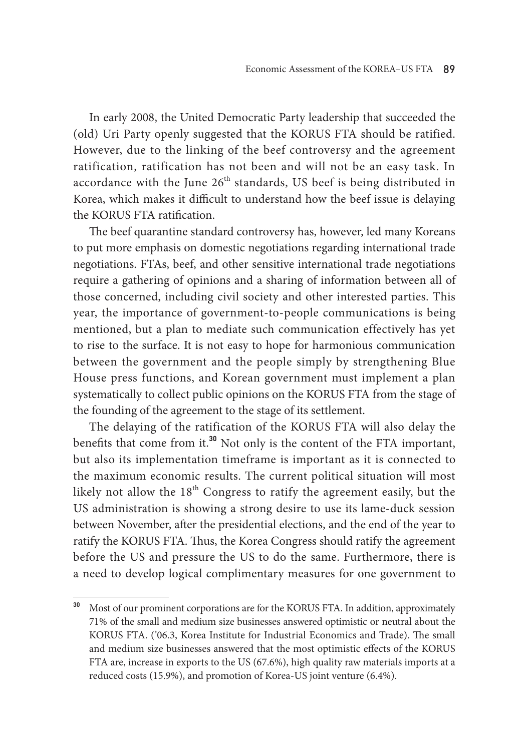In early 2008, the United Democratic Party leadership that succeeded the (old) Uri Party openly suggested that the KORUS FTA should be ratified. However, due to the linking of the beef controversy and the agreement ratification, ratification has not been and will not be an easy task. In accordance with the June 26<sup>th</sup> standards, US beef is being distributed in Korea, which makes it difficult to understand how the beef issue is delaying the KORUS FTA ratification.

The beef quarantine standard controversy has, however, led many Koreans to put more emphasis on domestic negotiations regarding international trade negotiations. FTAs, beef, and other sensitive international trade negotiations require a gathering of opinions and a sharing of information between all of those concerned, including civil society and other interested parties. This year, the importance of government-to-people communications is being mentioned, but a plan to mediate such communication effectively has yet to rise to the surface. It is not easy to hope for harmonious communication between the government and the people simply by strengthening Blue House press functions, and Korean government must implement a plan systematically to collect public opinions on the KORUS FTA from the stage of the founding of the agreement to the stage of its settlement.

The delaying of the ratification of the KORUS FTA will also delay the benefits that come from it.**<sup>30</sup>** Not only is the content of the FTA important, but also its implementation timeframe is important as it is connected to the maximum economic results. The current political situation will most likely not allow the  $18<sup>th</sup>$  Congress to ratify the agreement easily, but the US administration is showing a strong desire to use its lame-duck session between November, after the presidential elections, and the end of the year to ratify the KORUS FTA. Thus, the Korea Congress should ratify the agreement before the US and pressure the US to do the same. Furthermore, there is a need to develop logical complimentary measures for one government to

**<sup>30</sup>** Most of our prominent corporations are for the KORUS FTA. In addition, approximately 71% of the small and medium size businesses answered optimistic or neutral about the KORUS FTA. ('06.3, Korea Institute for Industrial Economics and Trade). The small and medium size businesses answered that the most optimistic effects of the KORUS FTA are, increase in exports to the US (67.6%), high quality raw materials imports at a reduced costs (15.9%), and promotion of Korea-US joint venture (6.4%).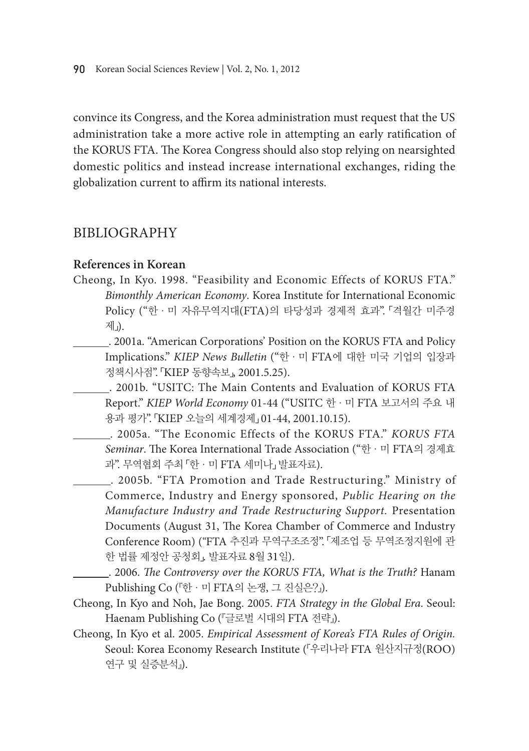convince its Congress, and the Korea administration must request that the US administration take a more active role in attempting an early ratification of the KORUS FTA. The Korea Congress should also stop relying on nearsighted domestic politics and instead increase international exchanges, riding the globalization current to affirm its national interests.

# BIBLIOGRAPHY

# **References in Korean**

- Cheong, In Kyo. 1998. "Feasibility and Economic Effects of KORUS FTA." *Bimonthly American Economy*. Korea Institute for International Economic Policy ("한·미 자유무역지대(FTA)의 타당성과 경제적 효과". 「격월간 미주경 제」).
	- . 2001a. "American Corporations' Position on the KORUS FTA and Policy Implications." *KIEP News Bulletin* ("한·미 FTA에 대한 미국 기업의 입장과 정책시사점". 「KIEP 동향속보」, 2001.5.25).
		- . 2001b. "USITC: The Main Contents and Evaluation of KORUS FTA Report." *KIEP World Economy* 01-44 ("USITC 한·미 FTA 보고서의 주요 내 용과 평가". 「KIEP 오늘의 세계경제」 01-44, 2001.10.15).
	- . 2005a. "The Economic Effects of the KORUS FTA." *KORUS FTA Seminar*. The Korea International Trade Association ("한·미 FTA의 경제효 과". 무역협회 주최 「한·미 FTA 세미나」 발표자료).
		- . 2005b. "FTA Promotion and Trade Restructuring." Ministry of Commerce, Industry and Energy sponsored, *Public Hearing on the Manufacture Industry and Trade Restructuring Support.* Presentation Documents (August 31, The Korea Chamber of Commerce and Industry Conference Room) ("FTA 추진과 무역구조조정". 「제조업 등 무역조정지원에 관 한 법률 제정안 공청회」. 발표자료 8월 31일).
		- . 2006. *The Controversy over the KORUS FTA, What is the Truth?* Hanam Publishing Co (『한·미 FTA의 논쟁, 그 진실은?』).
- Cheong, In Kyo and Noh, Jae Bong. 2005. *FTA Strategy in the Global Era*. Seoul: Haenam Publishing Co (『글로벌 시대의 FTA 전략』).
- Cheong, In Kyo et al. 2005. *Empirical Assessment of Korea's FTA Rules of Origin.* Seoul: Korea Economy Research Institute (『우리나라 FTA 원산지규정(ROO) 연구 및 실증분석』).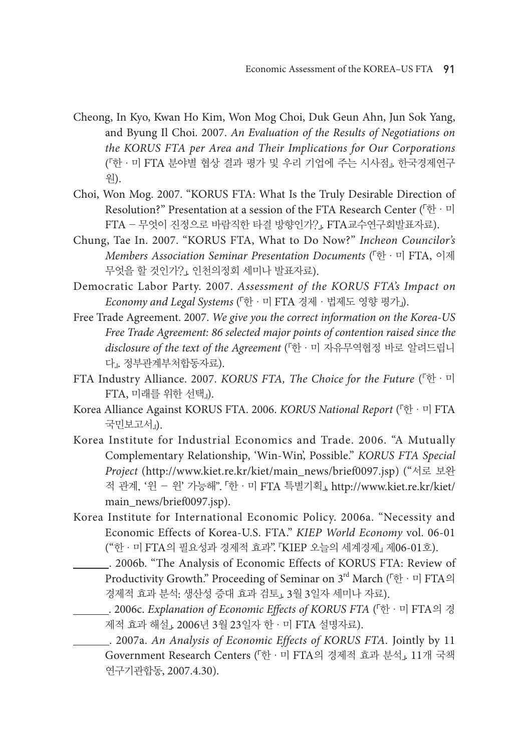- Cheong, In Kyo, Kwan Ho Kim, Won Mog Choi, Duk Geun Ahn, Jun Sok Yang, and Byung Il Choi. 2007. *An Evaluation of the Results of Negotiations on the KORUS FTA per Area and Their Implications for Our Corporations*  (『한·미 FTA 분야별 협상 결과 평가 및 우리 기업에 주는 시사점』. 한국경제연구 원).
- Choi, Won Mog. 2007. "KORUS FTA: What Is the Truly Desirable Direction of Resolution?" Presentation at a session of the FTA Research Center (「한·미 FTA - 무엇이 진정으로 바람직한 타결 방향인가?」. FTA교수연구회발표자료).
- Chung, Tae In. 2007. "KORUS FTA, What to Do Now?" *Incheon Councilor's Members Association Seminar Presentation Documents* (「한·미 FTA, 이제 무엇을 할 것인가?」. 인천의정회 세미나 발표자료).
- Democratic Labor Party. 2007. *Assessment of the KORUS FTA's Impact on Economy and Legal Systems* (「한·미 FTA 경제·법제도 영향 평가」).
- Free Trade Agreement. 2007. *We give you the correct information on the Korea-US Free Trade Agreement: 86 selected major points of contention raised since the disclosure of the text of the Agreement* (『한·미 자유무역협정 바로 알려드립니 다』. 정부관계부처합동자료).
- FTA Industry Alliance. 2007. *KORUS FTA, The Choice for the Future* (『한·미 FTA, 미래를 위한 선택』).
- Korea Alliance Against KORUS FTA. 2006. *KORUS National Report* (『한·미 FTA 국민보고서』).
- Korea Institute for Industrial Economics and Trade. 2006. "A Mutually Complementary Relationship, 'Win-Win', Possible." *KORUS FTA Special Project* (http://www.kiet.re.kr/kiet/main\_news/brief0097.jsp) ("서로 보완 적 관계, '윈 - 윈' 가능해". 「한·미 FTA 특별기획」, http://www.kiet.re.kr/kiet/ main\_news/brief0097.jsp).
- Korea Institute for International Economic Policy. 2006a. "Necessity and Economic Effects of Korea-U.S. FTA." *KIEP World Economy* vol. 06-01 ("한·미 FTA의 필요성과 경제적 효과". 『KIEP 오늘의 세계경제』 제06-01호).
	- . 2006b. "The Analysis of Economic Effects of KORUS FTA: Review of Productivity Growth." Proceeding of Seminar on 3rd March (「한·미 FTA의 경제적 효과 분석: 생산성 증대 효과 검토」. 3월 3일자 세미나 자료).
	- . 2006c. *Explanation of Economic Effects of KORUS FTA* (「한·미 FTA의 경 제적 효과 해설」. 2006년 3월 23일자 한·미 FTA 설명자료).

 . 2007a. *An Analysis of Economic Effects of KORUS FTA.* Jointly by 11 Government Research Centers (「한·미 FTA의 경제적 효과 분석」. 11개 국책 연구기관합동, 2007.4.30).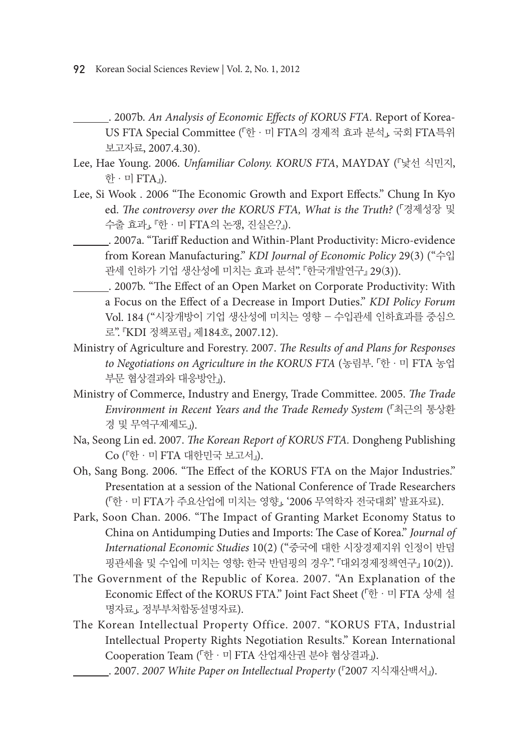- . 2007b. *An Analysis of Economic Effects of KORUS FTA*. Report of Korea-US FTA Special Committee (「한·미 FTA의 경제적 효과 분석」. 국회 FTA특위 보고자료, 2007.4.30).
- Lee, Hae Young. 2006. *Unfamiliar Colony. KORUS FTA*, MAYDAY (『낯선 식민지, 한 · 미 FTA』).
- Lee, Si Wook . 2006 "The Economic Growth and Export Effects." Chung In Kyo ed. *The controversy over the KORUS FTA, What is the Truth?* (「경제성장 및 수출 효과」. 『한·미 FTA의 논쟁, 진실은?』).
	- . 2007a. "Tariff Reduction and Within-Plant Productivity: Micro-evidence from Korean Manufacturing." *KDI Journal of Economic Policy* 29(3) ("수입 관세 인하가 기업 생산성에 미치는 효과 분석". 『한국개발연구』 29(3)).
	- . 2007b. "The Effect of an Open Market on Corporate Productivity: With a Focus on the Effect of a Decrease in Import Duties." *KDI Policy Forum*  Vol. 184 ("시장개방이 기업 생산성에 미치는 영향 - 수입관세 인하효과를 중심으 로". 『KDI 정책포럼』 제184호, 2007.12).
- Ministry of Agriculture and Forestry. 2007. *The Results of and Plans for Responses to Negotiations on Agriculture in the KORUS FTA* (농림부. 「한·미 FTA 농업 부문 협상결과와 대응방안」).
- Ministry of Commerce, Industry and Energy, Trade Committee. 2005. *The Trade Environment in Recent Years and the Trade Remedy System* (「최근의 통상환 경 및 무역구제제도」).
- Na, Seong Lin ed. 2007. *The Korean Report of KORUS FTA.* Dongheng Publishing Co (『한·미 FTA 대한민국 보고서』).
- Oh, Sang Bong. 2006. "The Effect of the KORUS FTA on the Major Industries." Presentation at a session of the National Conference of Trade Researchers (「한·미 FTA가 주요산업에 미치는 영향」. '2006 무역학자 전국대회' 발표자료).
- Park, Soon Chan. 2006. "The Impact of Granting Market Economy Status to China on Antidumping Duties and Imports: The Case of Korea." *Journal of International Economic Studies* 10(2) ("중국에 대한 시장경제지위 인정이 반덤 핑관세율 및 수입에 미치는 영향: 한국 반덤핑의 경우". 『대외경제정책연구』 10(2)).
- The Government of the Republic of Korea. 2007. "An Explanation of the Economic Effect of the KORUS FTA." Joint Fact Sheet (「한·미 FTA 상세 설 명자료」. 정부부처합동설명자료).
- The Korean Intellectual Property Office. 2007. "KORUS FTA, Industrial Intellectual Property Rights Negotiation Results." Korean International Cooperation Team (「한·미 FTA 산업재산권 분야 협상결과」).
	- . 2007. *2007 White Paper on Intellectual Property* (『2007 지식재산백서』).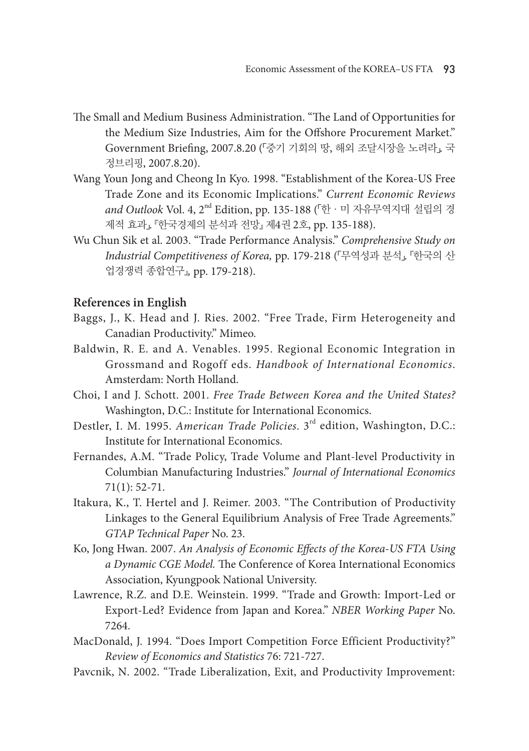- The Small and Medium Business Administration. "The Land of Opportunities for the Medium Size Industries, Aim for the Offshore Procurement Market." Government Briefing, 2007.8.20 (「중기 기회의 땅, 해외 조달시장을 노려라」. 국 정브리핑, 2007.8.20).
- Wang Youn Jong and Cheong In Kyo. 1998. "Establishment of the Korea-US Free Trade Zone and its Economic Implications." *Current Economic Reviews and Outlook* Vol. 4, 2nd Edition, pp. 135-188 (「한·미 자유무역지대 설립의 경 제적 효과」. 『한국경제의 분석과 전망』 제4권 2호, pp. 135-188).
- Wu Chun Sik et al. 2003. "Trade Performance Analysis." *Comprehensive Study on Industrial Competitiveness of Korea,* pp. 179-218 (「무역성과 분석」. 『한국의 산 업경쟁력 종합연구』*,* pp. 179-218).

#### **References in English**

- Baggs, J., K. Head and J. Ries. 2002. "Free Trade, Firm Heterogeneity and Canadian Productivity." Mimeo.
- Baldwin, R. E. and A. Venables. 1995. Regional Economic Integration in Grossmand and Rogoff eds. *Handbook of International Economics*. Amsterdam: North Holland.
- Choi, I and J. Schott. 2001. *Free Trade Between Korea and the United States?* Washington, D.C.: Institute for International Economics.
- Destler, I. M. 1995. *American Trade Policies*. 3rd edition, Washington, D.C.: Institute for International Economics.
- Fernandes, A.M. "Trade Policy, Trade Volume and Plant-level Productivity in Columbian Manufacturing Industries." *Journal of International Economics*  71(1): 52-71.
- Itakura, K., T. Hertel and J. Reimer. 2003. "The Contribution of Productivity Linkages to the General Equilibrium Analysis of Free Trade Agreements." *GTAP Technical Paper* No. 23.
- Ko, Jong Hwan. 2007. *An Analysis of Economic Effects of the Korea-US FTA Using a Dynamic CGE Model.* The Conference of Korea International Economics Association, Kyungpook National University.
- Lawrence, R.Z. and D.E. Weinstein. 1999. "Trade and Growth: Import-Led or Export-Led? Evidence from Japan and Korea." *NBER Working Paper* No. 7264.
- MacDonald, J. 1994. "Does Import Competition Force Efficient Productivity?" *Review of Economics and Statistics* 76: 721-727.
- Pavcnik, N. 2002. "Trade Liberalization, Exit, and Productivity Improvement: